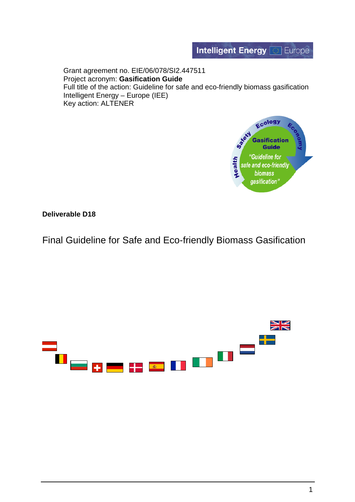

Grant agreement no. EIE/06/078/SI2.447511 Project acronym: **Gasification Guide** Full title of the action: Guideline for safe and eco-friendly biomass gasification Intelligent Energy – Europe (IEE) Key action: ALTENER



**Deliverable D18**

Final Guideline for Safe and Eco-friendly Biomass Gasification

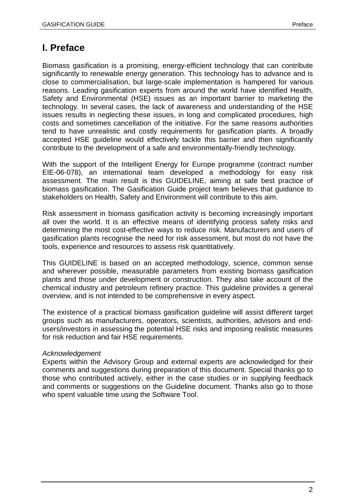# **I. Preface**

Biomass gasification is a promising, energy-efficient technology that can contribute significantly to renewable energy generation. This technology has to advance and is close to commercialisation, but large-scale implementation is hampered for various reasons. Leading gasification experts from around the world have identified Health, Safety and Environmental (HSE) issues as an important barrier to marketing the technology. In several cases, the lack of awareness and understanding of the HSE issues results in neglecting these issues, in long and complicated procedures, high costs and sometimes cancellation of the initiative. For the same reasons authorities tend to have unrealistic and costly requirements for gasification plants. A broadly accepted HSE guideline would effectively tackle this barrier and then significantly contribute to the development of a safe and environmentally-friendly technology.

With the support of the Intelligent Energy for Europe programme (contract number EIE-06-078), an international team developed a methodology for easy risk assessment. The main result is this GUIDELINE, aiming at safe best practice of biomass gasification. The Gasification Guide project team believes that guidance to stakeholders on Health, Safety and Environment will contribute to this aim.

Risk assessment in biomass gasification activity is becoming increasingly important all over the world. It is an effective means of identifying process safety risks and determining the most cost-effective ways to reduce risk. Manufacturers and users of gasification plants recognise the need for risk assessment, but most do not have the tools, experience and resources to assess risk quantitatively.

This GUIDELINE is based on an accepted methodology, science, common sense and wherever possible, measurable parameters from existing biomass gasification plants and those under development or construction. They also take account of the chemical industry and petroleum refinery practice. This guideline provides a general overview, and is not intended to be comprehensive in every aspect.

The existence of a practical biomass gasification guideline will assist different target groups such as manufacturers, operators, scientists, authorities, advisors and endusers/investors in assessing the potential HSE risks and imposing realistic measures for risk reduction and fair HSE requirements.

#### *Acknowledgement*

Experts within the Advisory Group and external experts are acknowledged for their comments and suggestions during preparation of this document. Special thanks go to those who contributed actively, either in the case studies or in supplying feedback and comments or suggestions on the Guideline document. Thanks also go to those who spent valuable time using the Software Tool.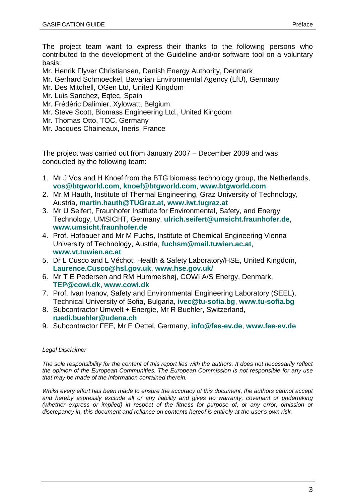The project team want to express their thanks to the following persons who contributed to the development of the Guideline and/or software tool on a voluntary basis:

Mr. Henrik Flyver Christiansen, Danish Energy Authority, Denmark

Mr. Gerhard Schmoeckel, Bavarian Environmental Agency (LfU), Germany

- Mr. Des Mitchell, OGen Ltd, United Kingdom
- Mr. Luis Sanchez, Eqtec, Spain
- Mr. Frédéric Dalimier, Xylowatt, Belgium
- Mr. Steve Scott, Biomass Engineering Ltd., United Kingdom
- Mr. Thomas Otto, TOC, Germany

Mr. Jacques Chaineaux, Ineris, France

The project was carried out from January 2007 – December 2009 and was conducted by the following team:

- 1. Mr J Vos and H Knoef from the BTG biomass technology group, the Netherlands, **vos@btgworld.com**, **knoef@btgworld.com**, **www.btgworld.com**
- 2. Mr M Hauth, Institute of Thermal Engineering, Graz University of Technology, Austria, **martin.hauth@TUGraz.at**, **www.iwt.tugraz.at**
- 3. Mr U Seifert, Fraunhofer Institute for Environmental, Safety, and Energy Technology, UMSICHT, Germany, **ulrich.seifert@umsicht.fraunhofer.de**, **www.umsicht.fraunhofer.de**
- 4. Prof. Hofbauer and Mr M Fuchs, Institute of Chemical Engineering Vienna University of Technology, Austria, **fuchsm@mail.tuwien.ac.at**, **www.vt.tuwien.ac.at**
- 5. Dr L Cusco and L Véchot, Health & Safety Laboratory/HSE, United Kingdom, **Laurence.Cusco@hsl.gov.uk**, **www.hse.gov.uk/**
- 6. Mr T E Pedersen and RM Hummelshøj, COWI A/S Energy, Denmark, **TEP@cowi.dk**, **www.cowi.dk**
- 7. Prof. Ivan Ivanov, Safety and Environmental Engineering Laboratory (SEEL), Technical University of Sofia, Bulgaria, **ivec@tu-sofia.bg**, **www.tu-sofia.bg**
- 8. Subcontractor Umwelt + Energie, Mr R Buehler, Switzerland, **ruedi.buehler@udena.ch**
- 9. Subcontractor FEE, Mr E Oettel, Germany, **info@fee-ev.de**, **www.fee-ev.de**

#### *Legal Disclaimer*

*The sole responsibility for the content of this report lies with the authors. It does not necessarily reflect the opinion of the European Communities. The European Commission is not responsible for any use that may be made of the information contained therein.*

*Whilst every effort has been made to ensure the accuracy of this document, the authors cannot accept and hereby expressly exclude all or any liability and gives no warranty, covenant or undertaking (whether express or implied) in respect of the fitness for purpose of, or any error, omission or discrepancy in, this document and reliance on contents hereof is entirely at the user's own risk.*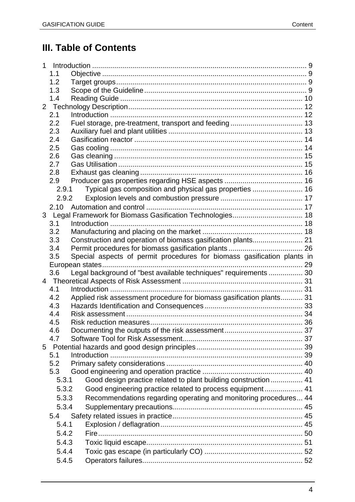# **III. Table of Contents**

|   | 1.1            |                                                                         |  |
|---|----------------|-------------------------------------------------------------------------|--|
|   | 1.2            |                                                                         |  |
|   | 1.3            |                                                                         |  |
|   | 1.4            |                                                                         |  |
|   |                |                                                                         |  |
|   | 2.1            |                                                                         |  |
|   | 2.2            |                                                                         |  |
|   | 2.3            |                                                                         |  |
|   | 2.4            |                                                                         |  |
|   | 2.5            |                                                                         |  |
|   | 2.6            |                                                                         |  |
|   | 2.7            |                                                                         |  |
|   | 2.8            |                                                                         |  |
|   | 2.9            |                                                                         |  |
|   | 2.9.1          | Typical gas composition and physical gas properties  16                 |  |
|   | 2.9.2          |                                                                         |  |
|   |                |                                                                         |  |
|   |                | 3 Legal Framework for Biomass Gasification Technologies 18              |  |
|   | 3.1            |                                                                         |  |
|   | 3.2            |                                                                         |  |
|   | 3.3            | Construction and operation of biomass gasification plants 21            |  |
|   | 3.4            |                                                                         |  |
|   | 3.5            | Special aspects of permit procedures for biomass gasification plants in |  |
|   |                |                                                                         |  |
|   | 3.6            | Legal background of "best available techniques" requirements  30        |  |
|   |                |                                                                         |  |
|   | 4.1            |                                                                         |  |
|   | 4.2            | Applied risk assessment procedure for biomass gasification plants 31    |  |
|   | 4.3            |                                                                         |  |
|   | 4.4            |                                                                         |  |
|   | 4.5            |                                                                         |  |
|   | 4.6            |                                                                         |  |
|   | 4.7            |                                                                         |  |
| 5 |                |                                                                         |  |
|   | 5.1            |                                                                         |  |
|   | 5.2            |                                                                         |  |
|   | 5.3            |                                                                         |  |
|   | 5.3.1          | Good design practice related to plant building construction  41         |  |
|   | 5.3.2          | Good engineering practice related to process equipment 41               |  |
|   | 5.3.3          | Recommendations regarding operating and monitoring procedures 44        |  |
|   | 5.3.4          |                                                                         |  |
|   | 5.4            |                                                                         |  |
|   | 5.4.1          |                                                                         |  |
|   |                |                                                                         |  |
|   |                |                                                                         |  |
|   | 5.4.2          |                                                                         |  |
|   | 5.4.3          |                                                                         |  |
|   | 5.4.4<br>5.4.5 |                                                                         |  |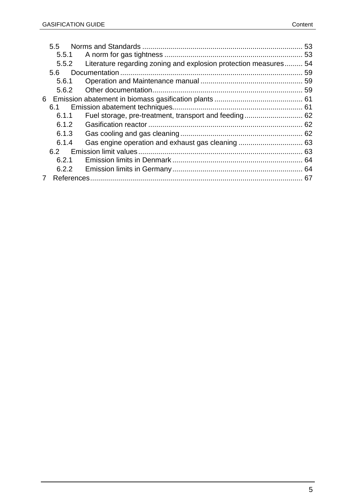| 5.5   |                                                                  |  |
|-------|------------------------------------------------------------------|--|
|       |                                                                  |  |
| 5.5.2 | Literature regarding zoning and explosion protection measures 54 |  |
| 5.6   |                                                                  |  |
| 5.6.1 |                                                                  |  |
| 5.6.2 |                                                                  |  |
| 6     |                                                                  |  |
| 6.1   |                                                                  |  |
| 6.1.1 |                                                                  |  |
| 6.1.2 |                                                                  |  |
| 6.1.3 |                                                                  |  |
| 6.1.4 |                                                                  |  |
| 62    |                                                                  |  |
| 6.2.1 |                                                                  |  |
| 6.2.2 |                                                                  |  |
|       |                                                                  |  |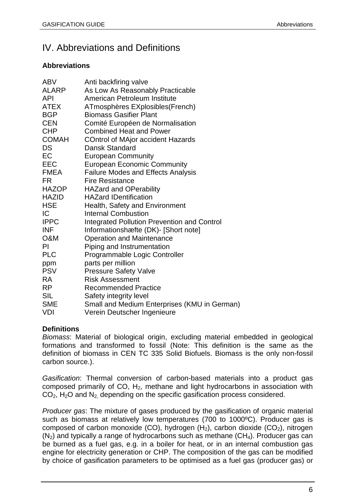# IV. Abbreviations and Definitions

#### **Abbreviations**

| <b>ABV</b>   | Anti backfiring valve                              |
|--------------|----------------------------------------------------|
| <b>ALARP</b> | As Low As Reasonably Practicable                   |
| <b>API</b>   | American Petroleum Institute                       |
| <b>ATEX</b>  | ATmosphères EXplosibles (French)                   |
| <b>BGP</b>   | <b>Biomass Gasifier Plant</b>                      |
| <b>CEN</b>   | Comité Européen de Normalisation                   |
| <b>CHP</b>   | <b>Combined Heat and Power</b>                     |
| <b>COMAH</b> | <b>COntrol of MAjor accident Hazards</b>           |
| <b>DS</b>    | Dansk Standard                                     |
| EC           | <b>European Community</b>                          |
| <b>EEC</b>   | <b>European Economic Community</b>                 |
| <b>FMEA</b>  | <b>Failure Modes and Effects Analysis</b>          |
| <b>FR</b>    | <b>Fire Resistance</b>                             |
| <b>HAZOP</b> | <b>HAZard and OPerability</b>                      |
| <b>HAZID</b> | <b>HAZard IDentification</b>                       |
| <b>HSE</b>   | Health, Safety and Environment                     |
| IC.          | <b>Internal Combustion</b>                         |
| <b>IPPC</b>  | <b>Integrated Pollution Prevention and Control</b> |
| <b>INF</b>   | Informationshæfte (DK)- [Short note]               |
| O&M          | <b>Operation and Maintenance</b>                   |
| PI           | Piping and Instrumentation                         |
| <b>PLC</b>   | Programmable Logic Controller                      |
| ppm          | parts per million                                  |
| <b>PSV</b>   | <b>Pressure Safety Valve</b>                       |
| <b>RA</b>    | <b>Risk Assessment</b>                             |
| RP           | <b>Recommended Practice</b>                        |
| <b>SIL</b>   | Safety integrity level                             |
| <b>SME</b>   | Small and Medium Enterprises (KMU in German)       |
| <b>VDI</b>   | Verein Deutscher Ingenieure                        |

## **Definitions**

*Biomass*: Material of biological origin, excluding material embedded in geological formations and transformed to fossil (Note: This definition is the same as the definition of biomass in CEN TC 335 Solid Biofuels. Biomass is the only non-fossil carbon source.).

*Gasification*: Thermal conversion of carbon-based materials into a product gas composed primarily of CO,  $H_2$ , methane and light hydrocarbons in association with  $CO<sub>2</sub>$ , H<sub>2</sub>O and N<sub>2</sub> depending on the specific gasification process considered.

*Producer gas*: The mixture of gases produced by the gasification of organic material such as biomass at relatively low temperatures (700 to 1000°C). Producer gas is composed of carbon monoxide (CO), hydrogen  $(H_2)$ , carbon dioxide (CO<sub>2</sub>), nitrogen  $(N<sub>2</sub>)$  and typically a range of hydrocarbons such as methane  $(CH<sub>4</sub>)$ . Producer gas can be burned as a fuel gas, e.g. in a boiler for heat, or in an internal combustion gas engine for electricity generation or CHP. The composition of the gas can be modified by choice of gasification parameters to be optimised as a fuel gas (producer gas) or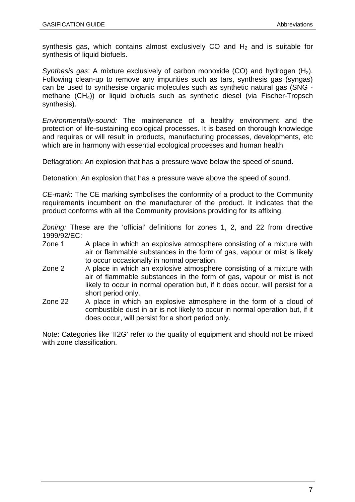synthesis gas, which contains almost exclusively CO and  $H<sub>2</sub>$  and is suitable for synthesis of liquid biofuels.

*Synthesis gas:* A mixture exclusively of carbon monoxide (CO) and hydrogen (H<sub>2</sub>). Following clean-up to remove any impurities such as tars, synthesis gas (syngas) can be used to synthesise organic molecules such as synthetic natural gas (SNG methane (CH4)) or liquid biofuels such as synthetic diesel (via Fischer-Tropsch synthesis).

*Environmentally-sound:* The maintenance of a healthy environment and the protection of life-sustaining ecological processes. It is based on thorough knowledge and requires or will result in products, manufacturing processes, developments, etc which are in harmony with essential ecological processes and human health.

Deflagration: An explosion that has a pressure wave below the speed of sound.

Detonation: An explosion that has a pressure wave above the speed of sound.

*CE-mark*: The CE marking symbolises the conformity of a product to the Community requirements incumbent on the manufacturer of the product. It indicates that the product conforms with all the Community provisions providing for its affixing.

*Zoning:* These are the 'official' definitions for zones 1, 2, and 22 from directive 1999/92/EC:

- Zone 1 A place in which an explosive atmosphere consisting of a mixture with air or flammable substances in the form of gas, vapour or mist is likely to occur occasionally in normal operation.
- Zone 2 A place in which an explosive atmosphere consisting of a mixture with air of flammable substances in the form of gas, vapour or mist is not likely to occur in normal operation but, if it does occur, will persist for a short period only.
- Zone 22 A place in which an explosive atmosphere in the form of a cloud of combustible dust in air is not likely to occur in normal operation but, if it does occur, will persist for a short period only.

Note: Categories like 'II2G' refer to the quality of equipment and should not be mixed with zone classification.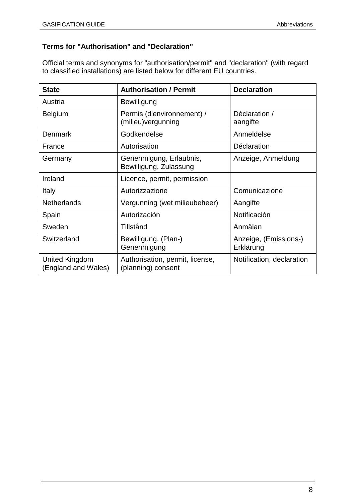## **Terms for "Authorisation" and "Declaration"**

Official terms and synonyms for "authorisation/permit" and "declaration" (with regard to classified installations) are listed below for different EU countries.

| <b>State</b>                          | <b>Authorisation / Permit</b>                         | <b>Declaration</b>                 |
|---------------------------------------|-------------------------------------------------------|------------------------------------|
| Austria                               | Bewilligung                                           |                                    |
| <b>Belgium</b>                        | Permis (d'environnement) /<br>(milieu)vergunning      | Déclaration /<br>aangifte          |
| Denmark                               | Godkendelse                                           | Anmeldelse                         |
| France                                | Autorisation                                          | Déclaration                        |
| Germany                               | Genehmigung, Erlaubnis,<br>Bewilligung, Zulassung     | Anzeige, Anmeldung                 |
| Ireland                               | Licence, permit, permission                           |                                    |
| Italy                                 | Autorizzazione                                        | Comunicazione                      |
| <b>Netherlands</b>                    | Vergunning (wet milieubeheer)                         | Aangifte                           |
| Spain                                 | Autorización                                          | Notificación                       |
| Sweden                                | Tillstånd                                             | Anmälan                            |
| Switzerland                           | Bewilligung, (Plan-)<br>Genehmigung                   | Anzeige, (Emissions-)<br>Erklärung |
| United Kingdom<br>(England and Wales) | Authorisation, permit, license,<br>(planning) consent | Notification, declaration          |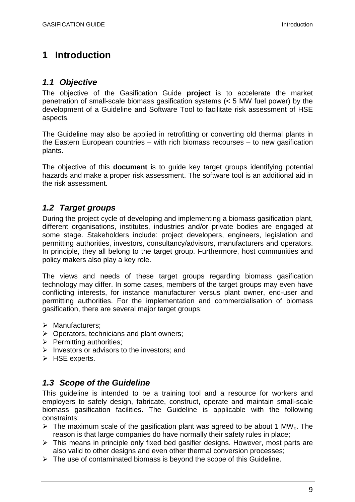# **1 Introduction**

## *1.1 Objective*

The objective of the Gasification Guide **project** is to accelerate the market penetration of small-scale biomass gasification systems (< 5 MW fuel power) by the development of a Guideline and Software Tool to facilitate risk assessment of HSE aspects.

The Guideline may also be applied in retrofitting or converting old thermal plants in the Eastern European countries – with rich biomass recourses – to new gasification plants.

The objective of this **document** is to guide key target groups identifying potential hazards and make a proper risk assessment. The software tool is an additional aid in the risk assessment.

# *1.2 Target groups*

During the project cycle of developing and implementing a biomass gasification plant, different organisations, institutes, industries and/or private bodies are engaged at some stage. Stakeholders include: project developers, engineers, legislation and permitting authorities, investors, consultancy/advisors, manufacturers and operators. In principle, they all belong to the target group. Furthermore, host communities and policy makers also play a key role.

The views and needs of these target groups regarding biomass gasification technology may differ. In some cases, members of the target groups may even have conflicting interests, for instance manufacturer versus plant owner, end-user and permitting authorities. For the implementation and commercialisation of biomass gasification, there are several major target groups:

- $\triangleright$  Manufacturers;
- $\triangleright$  Operators, technicians and plant owners;
- $\triangleright$  Permitting authorities:
- $\triangleright$  Investors or advisors to the investors: and
- $\triangleright$  HSE experts.

## *1.3 Scope of the Guideline*

This guideline is intended to be a training tool and a resource for workers and employers to safely design, fabricate, construct, operate and maintain small-scale biomass gasification facilities. The Guideline is applicable with the following constraints:

- $\triangleright$  The maximum scale of the gasification plant was agreed to be about 1 MW<sub>e</sub>. The reason is that large companies do have normally their safety rules in place;
- $\triangleright$  This means in principle only fixed bed gasifier designs. However, most parts are also valid to other designs and even other thermal conversion processes;
- $\triangleright$  The use of contaminated biomass is beyond the scope of this Guideline.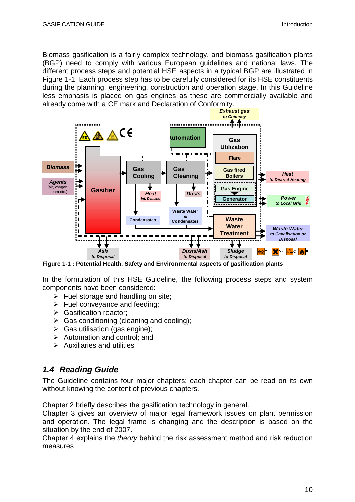Biomass gasification is a fairly complex technology, and biomass gasification plants (BGP) need to comply with various European guidelines and national laws. The different process steps and potential HSE aspects in a typical BGP are illustrated in Figure 1-1. Each process step has to be carefully considered for its HSE constituents during the planning, engineering, construction and operation stage. In this Guideline less emphasis is placed on gas engines as these are commercially available and already come with a CE mark and Declaration of Conformity.



**Figure 1-1 : Potential Health, Safety and Environmental aspects of gasification plants**

In the formulation of this HSE Guideline, the following process steps and system components have been considered:

- $\triangleright$  Fuel storage and handling on site;
- $\triangleright$  Fuel conveyance and feeding:
- Seasification reactor;
- $\triangleright$  Gas conditioning (cleaning and cooling);
- $\triangleright$  Gas utilisation (gas engine);
- $\triangleright$  Automation and control: and
- $\triangleright$  Auxiliaries and utilities

#### *1.4 Reading Guide*

The Guideline contains four major chapters; each chapter can be read on its own without knowing the content of previous chapters.

Chapter 2 briefly describes the gasification technology in general.

Chapter 3 gives an overview of major legal framework issues on plant permission and operation. The legal frame is changing and the description is based on the situation by the end of 2007.

Chapter 4 explains the *theory* behind the risk assessment method and risk reduction measures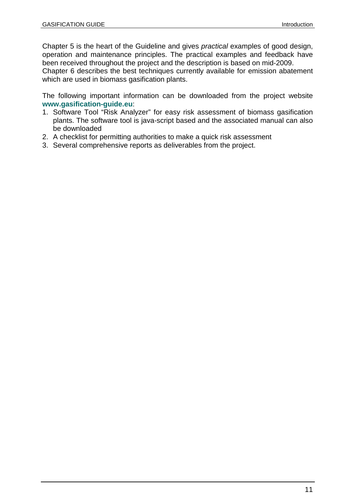Chapter 5 is the heart of the Guideline and gives *practical* examples of good design, operation and maintenance principles. The practical examples and feedback have been received throughout the project and the description is based on mid-2009.

Chapter 6 describes the best techniques currently available for emission abatement which are used in biomass gasification plants.

The following important information can be downloaded from the project website **www.gasification-guide.eu**:

- 1. Software Tool "Risk Analyzer" for easy risk assessment of biomass gasification plants. The software tool is java-script based and the associated manual can also be downloaded
- 2. A checklist for permitting authorities to make a quick risk assessment
- 3. Several comprehensive reports as deliverables from the project.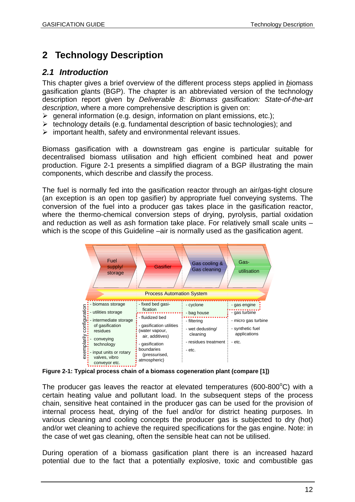# **2 Technology Description**

## *2.1 Introduction*

This chapter gives a brief overview of the different process steps applied in *b*iomass gasification plants (BGP). The chapter is an abbreviated version of the technology description report given by *Deliverable 8: Biomass gasification: State-of-the-art description*, where a more comprehensive description is given on:

- $\triangleright$  general information (e.g. design, information on plant emissions, etc.);
- $\triangleright$  technology details (e.g. fundamental description of basic technologies); and
- $\triangleright$  important health, safety and environmental relevant issues.

Biomass gasification with a downstream gas engine is particular suitable for decentralised biomass utilisation and high efficient combined heat and power production. Figure 2-1 presents a simplified diagram of a BGP illustrating the main components, which describe and classify the process.

The fuel is normally fed into the gasification reactor through an air/gas-tight closure (an exception is an open top gasifier) by appropriate fuel conveying systems. The conversion of the fuel into a producer gas takes place in the gasification reactor, where the thermo-chemical conversion steps of drying, pyrolysis, partial oxidation and reduction as well as ash formation take place. For relatively small scale units – which is the scope of this Guideline –air is normally used as the gasification agent.



**Figure 2-1: Typical process chain of a biomass cogeneration plant (compare [1])**

The producer gas leaves the reactor at elevated temperatures (600-800 $^{\circ}$ C) with a certain heating value and pollutant load. In the subsequent steps of the process chain, sensitive heat contained in the producer gas can be used for the provision of internal process heat, drying of the fuel and/or for district heating purposes. In various cleaning and cooling concepts the producer gas is subjected to dry (hot) and/or wet cleaning to achieve the required specifications for the gas engine. Note: in the case of wet gas cleaning, often the sensible heat can not be utilised.

During operation of a biomass gasification plant there is an increased hazard potential due to the fact that a potentially explosive, toxic and combustible gas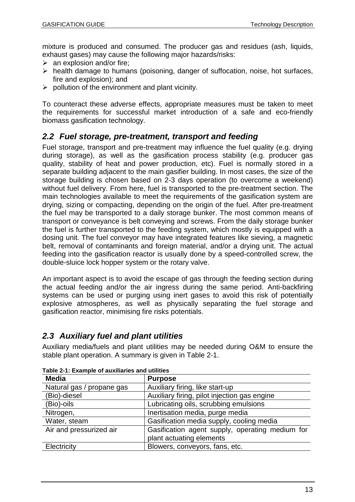mixture is produced and consumed. The producer gas and residues (ash, liquids, exhaust gases) may cause the following major hazards/risks:

- $\triangleright$  an explosion and/or fire;
- $\triangleright$  health damage to humans (poisoning, danger of suffocation, noise, hot surfaces, fire and explosion); and
- $\triangleright$  pollution of the environment and plant vicinity.

To counteract these adverse effects, appropriate measures must be taken to meet the requirements for successful market introduction of a safe and eco-friendly biomass gasification technology.

## *2.2 Fuel storage, pre-treatment, transport and feeding*

Fuel storage, transport and pre-treatment may influence the fuel quality (e.g. drying during storage), as well as the gasification process stability (e.g. producer gas quality, stability of heat and power production, etc). Fuel is normally stored in a separate building adjacent to the main gasifier building. In most cases, the size of the storage building is chosen based on 2-3 days operation (to overcome a weekend) without fuel delivery. From here, fuel is transported to the pre-treatment section. The main technologies available to meet the requirements of the gasification system are drying, sizing or compacting, depending on the origin of the fuel. After pre-treatment the fuel may be transported to a daily storage bunker. The most common means of transport or conveyance is belt conveying and screws. From the daily storage bunker the fuel is further transported to the feeding system, which mostly is equipped with a dosing unit. The fuel conveyor may have integrated features like sieving, a magnetic belt, removal of contaminants and foreign material, and/or a drying unit. The actual feeding into the gasification reactor is usually done by a speed-controlled screw, the double-sluice lock hopper system or the rotary valve.

An important aspect is to avoid the escape of gas through the feeding section during the actual feeding and/or the air ingress during the same period. Anti-backfiring systems can be used or purging using inert gases to avoid this risk of potentially explosive atmospheres, as well as physically separating the fuel storage and gasification reactor, minimising fire risks potentials.

## *2.3 Auxiliary fuel and plant utilities*

Auxiliary media/fuels and plant utilities may be needed during O&M to ensure the stable plant operation. A summary is given in Table 2-1.

| <b>Media</b>              | <b>Purpose</b>                                  |
|---------------------------|-------------------------------------------------|
| Natural gas / propane gas | Auxiliary firing, like start-up                 |
| (Bio)-diesel              | Auxiliary firing, pilot injection gas engine    |
| (Bio)-oils                | Lubricating oils, scrubbing emulsions           |
| Nitrogen,                 | Inertisation media, purge media                 |
| Water, steam              | Gasification media supply, cooling media        |
| Air and pressurized air   | Gasification agent supply, operating medium for |
|                           | plant actuating elements                        |
| Electricity               | Blowers, conveyors, fans, etc.                  |

**Table 2-1: Example of auxiliaries and utilities**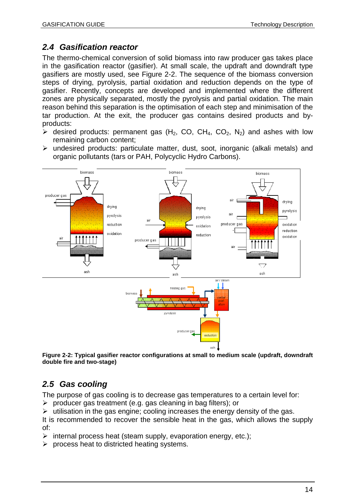## *2.4 Gasification reactor*

The thermo-chemical conversion of solid biomass into raw producer gas takes place in the gasification reactor (gasifier). At small scale, the updraft and downdraft type gasifiers are mostly used, see Figure 2-2. The sequence of the biomass conversion steps of drying, pyrolysis, partial oxidation and reduction depends on the type of gasifier. Recently, concepts are developed and implemented where the different zones are physically separated, mostly the pyrolysis and partial oxidation. The main reason behind this separation is the optimisation of each step and minimisation of the tar production. At the exit, the producer gas contains desired products and byproducts:

- $\triangleright$  desired products: permanent gas (H<sub>2</sub>, CO, CH<sub>4</sub>, CO<sub>2</sub>, N<sub>2</sub>) and ashes with low remaining carbon content;
- undesired products: particulate matter, dust, soot, inorganic (alkali metals) and organic pollutants (tars or PAH, Polycyclic Hydro Carbons).



**Figure 2-2: Typical gasifier reactor configurations at small to medium scale (updraft, downdraft double fire and two-stage)**

# *2.5 Gas cooling*

The purpose of gas cooling is to decrease gas temperatures to a certain level for:

 $\triangleright$  producer gas treatment (e.g. gas cleaning in bag filters); or

 $\triangleright$  utilisation in the gas engine; cooling increases the energy density of the gas.

It is recommended to recover the sensible heat in the gas, which allows the supply of:

- $\triangleright$  internal process heat (steam supply, evaporation energy, etc.);
- $\triangleright$  process heat to districted heating systems.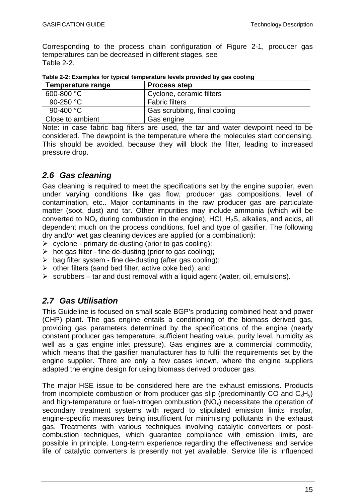Corresponding to the process chain configuration of Figure 2-1, producer gas temperatures can be decreased in different stages, see Table 2-2.

| Temperature range | <b>Process step</b>          |
|-------------------|------------------------------|
| 600-800 °C        | Cyclone, ceramic filters     |
| 90-250 $°C$       | <b>Fabric filters</b>        |
| 90-400 °C         | Gas scrubbing, final cooling |
| Close to ambient  | Gas engine                   |

**Table 2-2: Examples for typical temperature levels provided by gas cooling**

Note: in case fabric bag filters are used, the tar and water dewpoint need to be considered. The dewpoint is the temperature where the molecules start condensing. This should be avoided, because they will block the filter, leading to increased pressure drop.

# *2.6 Gas cleaning*

Gas cleaning is required to meet the specifications set by the engine supplier, even under varying conditions like gas flow, producer gas compositions, level of contamination, etc.. Major contaminants in the raw producer gas are particulate matter (soot, dust) and tar. Other impurities may include ammonia (which will be converted to  $NO_x$  during combustion in the engine), HCl, H<sub>2</sub>S, alkalies, and acids, all dependent much on the process conditions, fuel and type of gasifier. The following dry and/or wet gas cleaning devices are applied (or a combination):

- $\triangleright$  cyclone primary de-dusting (prior to gas cooling);
- $\triangleright$  hot gas filter fine de-dusting (prior to gas cooling);
- $\triangleright$  bag filter system fine de-dusting (after gas cooling);
- $\triangleright$  other filters (sand bed filter, active coke bed); and
- $\triangleright$  scrubbers tar and dust removal with a liquid agent (water, oil, emulsions).

# *2.7 Gas Utilisation*

This Guideline is focused on small scale BGP's producing combined heat and power (CHP) plant. The gas engine entails a conditioning of the biomass derived gas, providing gas parameters determined by the specifications of the engine (nearly constant producer gas temperature, sufficient heating value, purity level, humidity as well as a gas engine inlet pressure). Gas engines are a commercial commodity, which means that the gasifier manufacturer has to fulfil the requirements set by the engine supplier. There are only a few cases known, where the engine suppliers adapted the engine design for using biomass derived producer gas.

The major HSE issue to be considered here are the exhaust emissions. Products from incomplete combustion or from producer gas slip (predominantly CO and  $C_xH_y$ ) and high-temperature or fuel-nitrogen combustion  $(NO_x)$  necessitate the operation of secondary treatment systems with regard to stipulated emission limits insofar, engine-specific measures being insufficient for minimising pollutants in the exhaust gas. Treatments with various techniques involving catalytic converters or postcombustion techniques, which guarantee compliance with emission limits, are possible in principle. Long-term experience regarding the effectiveness and service life of catalytic converters is presently not yet available. Service life is influenced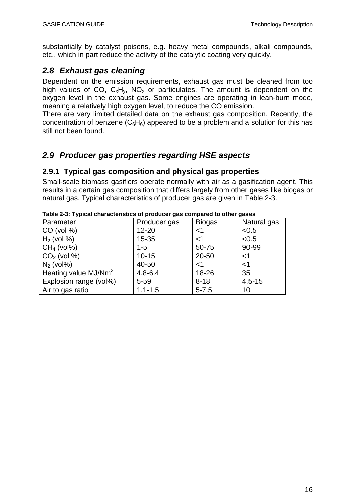substantially by catalyst poisons, e.g. heavy metal compounds, alkali compounds, etc., which in part reduce the activity of the catalytic coating very quickly.

# *2.8 Exhaust gas cleaning*

Dependent on the emission requirements, exhaust gas must be cleaned from too high values of CO,  $C_xH_y$ , NO<sub>x</sub> or particulates. The amount is dependent on the oxygen level in the exhaust gas. Some engines are operating in lean-burn mode, meaning a relatively high oxygen level, to reduce the CO emission.

There are very limited detailed data on the exhaust gas composition. Recently, the concentration of benzene  $(C_6H_6)$  appeared to be a problem and a solution for this has still not been found.

# *2.9 Producer gas properties regarding HSE aspects*

### **2.9.1 Typical gas composition and physical gas properties**

Small-scale biomass gasifiers operate normally with air as a gasification agent. This results in a certain gas composition that differs largely from other gases like biogas or natural gas. Typical characteristics of producer gas are given in Table 2-3.

|                                  | . <u>. .</u> |               | 3----       |
|----------------------------------|--------------|---------------|-------------|
| Parameter                        | Producer gas | <b>Biogas</b> | Natural gas |
| $CO$ (vol %)                     | $12 - 20$    | $<$ 1         | < 0.5       |
| $H2$ (vol %)                     | $15 - 35$    | <1            | < 0.5       |
| $CH4$ (vol%)                     | $1 - 5$      | 50-75         | 90-99       |
| $CO2$ (vol %)                    | $10 - 15$    | 20-50         | $<$ 1       |
| $N_2$ (vol%)                     | 40-50        | <1            | $<$ 1       |
| Heating value MJ/Nm <sup>3</sup> | $4.8 - 6.4$  | 18-26         | 35          |
| Explosion range (vol%)           | $5 - 59$     | $8 - 18$      | $4.5 - 15$  |
| Air to gas ratio                 | $1.1 - 1.5$  | $5 - 7.5$     | 10          |

**Table 2-3: Typical characteristics of producer gas compared to other gases**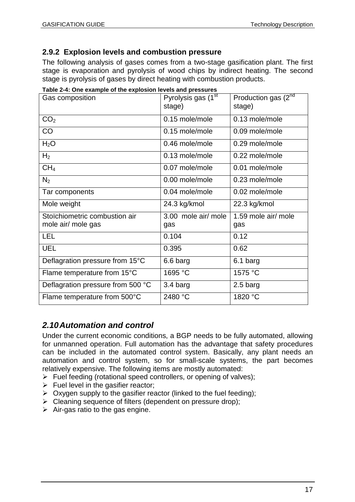## **2.9.2 Explosion levels and combustion pressure**

The following analysis of gases comes from a two-stage gasification plant. The first stage is evaporation and pyrolysis of wood chips by indirect heating. The second stage is pyrolysis of gases by direct heating with combustion products.

| rable z-+. One example or the explosion levels and pressures<br>Gas composition | Pyrolysis gas (1 <sup>st</sup><br>stage) | Production gas (2nd<br>stage) |
|---------------------------------------------------------------------------------|------------------------------------------|-------------------------------|
| CO <sub>2</sub>                                                                 | 0.15 mole/mole                           | 0.13 mole/mole                |
| CO                                                                              | 0.15 mole/mole                           | 0.09 mole/mole                |
| $H_2O$                                                                          | 0.46 mole/mole                           | 0.29 mole/mole                |
| H <sub>2</sub>                                                                  | 0.13 mole/mole                           | 0.22 mole/mole                |
| CH <sub>4</sub>                                                                 | 0.07 mole/mole                           | 0.01 mole/mole                |
| $N_2$                                                                           | 0.00 mole/mole                           | 0.23 mole/mole                |
| Tar components                                                                  | 0.04 mole/mole                           | 0.02 mole/mole                |
| Mole weight                                                                     | 24.3 kg/kmol                             | 22.3 kg/kmol                  |
| Stoïchiometric combustion air<br>mole air/ mole gas                             | 3.00 mole air/ mole<br>gas               | 1.59 mole air/ mole<br>gas    |
| <b>LEL</b>                                                                      | 0.104                                    | 0.12                          |
| <b>UEL</b>                                                                      | 0.395                                    | 0.62                          |
| Deflagration pressure from 15°C                                                 | 6.6 barg                                 | 6.1 barg                      |
| Flame temperature from 15°C                                                     | 1695 °C                                  | 1575 °C                       |
| Deflagration pressure from 500 °C                                               | 3.4 barg                                 | 2.5 barg                      |
| Flame temperature from 500°C                                                    | 2480 °C                                  | 1820 °C                       |

**Table 2-4: One example of the explosion levels and pressures**

# *2.10Automation and control*

Under the current economic conditions, a BGP needs to be fully automated, allowing for unmanned operation. Full automation has the advantage that safety procedures can be included in the automated control system. Basically, any plant needs an automation and control system, so for small-scale systems, the part becomes relatively expensive. The following items are mostly automated:

- $\triangleright$  Fuel feeding (rotational speed controllers, or opening of valves);
- $\triangleright$  Fuel level in the gasifier reactor;
- $\triangleright$  Oxygen supply to the gasifier reactor (linked to the fuel feeding);
- > Cleaning sequence of filters (dependent on pressure drop);
- $\triangleright$  Air-gas ratio to the gas engine.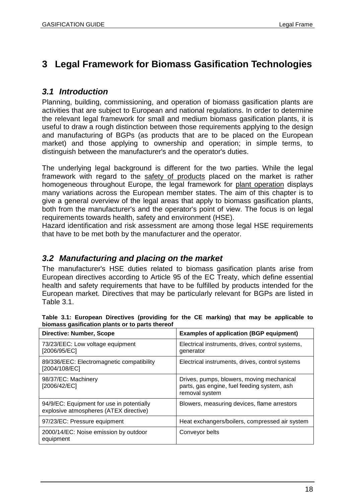# **3 Legal Framework for Biomass Gasification Technologies**

## *3.1 Introduction*

Planning, building, commissioning, and operation of biomass gasification plants are activities that are subject to European and national regulations. In order to determine the relevant legal framework for small and medium biomass gasification plants, it is useful to draw a rough distinction between those requirements applying to the design and manufacturing of BGPs (as products that are to be placed on the European market) and those applying to ownership and operation; in simple terms, to distinguish between the manufacturer's and the operator's duties.

The underlying legal background is different for the two parties. While the legal framework with regard to the safety of products placed on the market is rather homogeneous throughout Europe, the legal framework for plant operation displays many variations across the European member states. The aim of this chapter is to give a general overview of the legal areas that apply to biomass gasification plants, both from the manufacturer's and the operator's point of view. The focus is on legal requirements towards health, safety and environment (HSE).

Hazard identification and risk assessment are among those legal HSE requirements that have to be met both by the manufacturer and the operator.

## *3.2 Manufacturing and placing on the market*

The manufacturer's HSE duties related to biomass gasification plants arise from European directives according to Article 95 of the EC Treaty, which define essential health and safety requirements that have to be fulfilled by products intended for the European market. Directives that may be particularly relevant for BGPs are listed in Table 3.1.

| <b>Directive: Number, Scope</b>                                                     | <b>Examples of application (BGP equipment)</b>                                                             |
|-------------------------------------------------------------------------------------|------------------------------------------------------------------------------------------------------------|
| 73/23/EEC: Low voltage equipment<br>[2006/95/EC]                                    | Electrical instruments, drives, control systems,<br>generator                                              |
| 89/336/EEC: Electromagnetic compatibility<br>[2004/108/EC]                          | Electrical instruments, drives, control systems                                                            |
| 98/37/EC: Machinery<br>[2006/42/EC]                                                 | Drives, pumps, blowers, moving mechanical<br>parts, gas engine, fuel feeding system, ash<br>removal system |
| 94/9/EC: Equipment for use in potentially<br>explosive atmospheres (ATEX directive) | Blowers, measuring devices, flame arrestors                                                                |
| 97/23/EC: Pressure equipment                                                        | Heat exchangers/boilers, compressed air system                                                             |
| 2000/14/EC: Noise emission by outdoor<br>equipment                                  | Conveyor belts                                                                                             |

| biomass gasification plants or to parts thereof |  | Table 3.1: European Directives (providing for the CE marking) that may be applicable to |  |  |  |  |  |  |  |  |
|-------------------------------------------------|--|-----------------------------------------------------------------------------------------|--|--|--|--|--|--|--|--|
|                                                 |  |                                                                                         |  |  |  |  |  |  |  |  |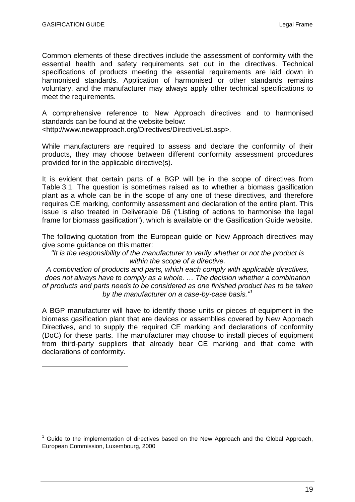Common elements of these directives include the assessment of conformity with the essential health and safety requirements set out in the directives. Technical specifications of products meeting the essential requirements are laid down in harmonised standards. Application of harmonised or other standards remains voluntary, and the manufacturer may always apply other technical specifications to meet the requirements.

A comprehensive reference to New Approach directives and to harmonised standards can be found at the website below:

<http://www.newapproach.org/Directives/DirectiveList.asp>.

While manufacturers are required to assess and declare the conformity of their products, they may choose between different conformity assessment procedures provided for in the applicable directive(s).

It is evident that certain parts of a BGP will be in the scope of directives from Table 3.1. The question is sometimes raised as to whether a biomass gasification plant as a whole can be in the scope of any one of these directives, and therefore requires CE marking, conformity assessment and declaration of the entire plant. This issue is also treated in Deliverable D6 ("Listing of actions to harmonise the legal frame for biomass gasification"), which is available on the Gasification Guide website.

The following quotation from the European guide on New Approach directives may give some guidance on this matter:

*"It is the responsibility of the manufacturer to verify whether or not the product is within the scope of a directive.*

*A combination of products and parts, which each comply with applicable directives, does not always have to comply as a whole. … The decision whether a combination of products and parts needs to be considered as one finished product has to be taken by the manufacturer on a case-by-case basis."<sup>1</sup>*

A BGP manufacturer will have to identify those units or pieces of equipment in the biomass gasification plant that are devices or assemblies covered by New Approach Directives, and to supply the required CE marking and declarations of conformity (DoC) for these parts. The manufacturer may choose to install pieces of equipment from third-party suppliers that already bear CE marking and that come with declarations of conformity.

 $1$  Guide to the implementation of directives based on the New Approach and the Global Approach, European Commission, Luxembourg, 2000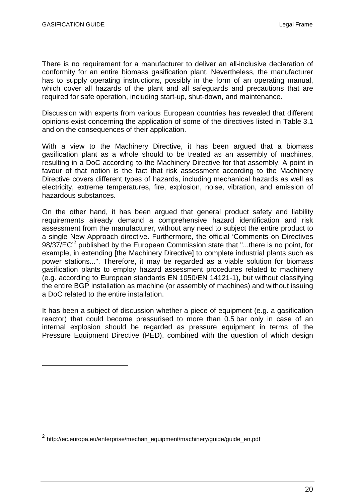There is no requirement for a manufacturer to deliver an all-inclusive declaration of conformity for an entire biomass gasification plant. Nevertheless, the manufacturer has to supply operating instructions, possibly in the form of an operating manual, which cover all hazards of the plant and all safeguards and precautions that are required for safe operation, including start-up, shut-down, and maintenance.

Discussion with experts from various European countries has revealed that different opinions exist concerning the application of some of the directives listed in Table 3.1 and on the consequences of their application.

With a view to the Machinery Directive, it has been argued that a biomass gasification plant as a whole should to be treated as an assembly of machines, resulting in a DoC according to the Machinery Directive for that assembly. A point in favour of that notion is the fact that risk assessment according to the Machinery Directive covers different types of hazards, including mechanical hazards as well as electricity, extreme temperatures, fire, explosion, noise, vibration, and emission of hazardous substances.

On the other hand, it has been argued that general product safety and liability requirements already demand a comprehensive hazard identification and risk assessment from the manufacturer, without any need to subject the entire product to a single New Approach directive. Furthermore, the official 'Comments on Directives 98/37/EC<sup>'2</sup> published by the European Commission state that "...there is no point, for example, in extending [the Machinery Directive] to complete industrial plants such as power stations...". Therefore, it may be regarded as a viable solution for biomass gasification plants to employ hazard assessment procedures related to machinery (e.g. according to European standards EN 1050/EN 14121-1), but without classifying the entire BGP installation as machine (or assembly of machines) and without issuing a DoC related to the entire installation.

It has been a subject of discussion whether a piece of equipment (e.g. a gasification reactor) that could become pressurised to more than 0.5 bar only in case of an internal explosion should be regarded as pressure equipment in terms of the Pressure Equipment Directive (PED), combined with the question of which design

<sup>&</sup>lt;sup>2</sup> http://ec.europa.eu/enterprise/mechan\_equipment/machinery/guide/guide\_en.pdf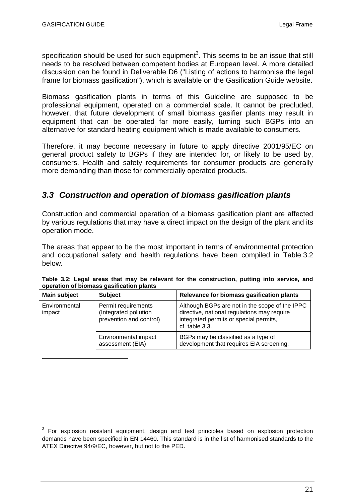specification should be used for such equipment<sup>3</sup>. This seems to be an issue that still needs to be resolved between competent bodies at European level. A more detailed discussion can be found in Deliverable D6 ("Listing of actions to harmonise the legal frame for biomass gasification"), which is available on the Gasification Guide website.

Biomass gasification plants in terms of this Guideline are supposed to be professional equipment, operated on a commercial scale. It cannot be precluded, however, that future development of small biomass gasifier plants may result in equipment that can be operated far more easily, turning such BGPs into an alternative for standard heating equipment which is made available to consumers.

Therefore, it may become necessary in future to apply directive 2001/95/EC on general product safety to BGPs if they are intended for, or likely to be used by, consumers. Health and safety requirements for consumer products are generally more demanding than those for commercially operated products.

# *3.3 Construction and operation of biomass gasification plants*

Construction and commercial operation of a biomass gasification plant are affected by various regulations that may have a direct impact on the design of the plant and its operation mode.

The areas that appear to be the most important in terms of environmental protection and occupational safety and health regulations have been compiled in Table 3.2 below.

| Main subject            | <b>Subject</b>                                                          | Relevance for biomass gasification plants                                                                                                                     |
|-------------------------|-------------------------------------------------------------------------|---------------------------------------------------------------------------------------------------------------------------------------------------------------|
| Environmental<br>impact | Permit requirements<br>(Integrated pollution<br>prevention and control) | Although BGPs are not in the scope of the IPPC<br>directive, national regulations may require<br>integrated permits or special permits,<br>$cf.$ table $3.3.$ |
|                         | Environmental impact<br>assessment (EIA)                                | BGPs may be classified as a type of<br>development that requires EIA screening.                                                                               |

| Table 3.2: Legal areas that may be relevant for the construction, putting into service, and |  |  |  |  |  |  |
|---------------------------------------------------------------------------------------------|--|--|--|--|--|--|
| operation of biomass gasification plants                                                    |  |  |  |  |  |  |

 $3$  For explosion resistant equipment, design and test principles based on explosion protection demands have been specified in EN 14460. This standard is in the list of harmonised standards to the ATEX Directive 94/9/EC, however, but not to the PED.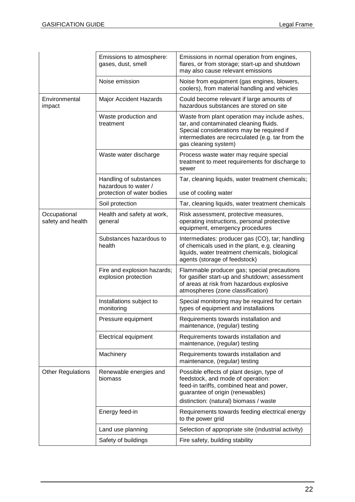|                                   | Emissions to atmosphere:<br>gases, dust, smell                               | Emissions in normal operation from engines,<br>flares, or from storage; start-up and shutdown<br>may also cause relevant emissions                                                                                |
|-----------------------------------|------------------------------------------------------------------------------|-------------------------------------------------------------------------------------------------------------------------------------------------------------------------------------------------------------------|
|                                   | Noise emission                                                               | Noise from equipment (gas engines, blowers,<br>coolers), from material handling and vehicles                                                                                                                      |
| Environmental<br>impact           | Major Accident Hazards                                                       | Could become relevant if large amounts of<br>hazardous substances are stored on site                                                                                                                              |
|                                   | Waste production and<br>treatment                                            | Waste from plant operation may include ashes,<br>tar, and contaminated cleaning fluids.<br>Special considerations may be required if<br>intermediates are recirculated (e.g. tar from the<br>gas cleaning system) |
|                                   | Waste water discharge                                                        | Process waste water may require special<br>treatment to meet requirements for discharge to<br>sewer                                                                                                               |
|                                   | Handling of substances<br>hazardous to water /<br>protection of water bodies | Tar, cleaning liquids, water treatment chemicals;<br>use of cooling water                                                                                                                                         |
|                                   |                                                                              |                                                                                                                                                                                                                   |
|                                   | Soil protection                                                              | Tar, cleaning liquids, water treatment chemicals                                                                                                                                                                  |
| Occupational<br>safety and health | Health and safety at work,<br>general                                        | Risk assessment, protective measures,<br>operating instructions, personal protective<br>equipment, emergency procedures                                                                                           |
|                                   | Substances hazardous to<br>health                                            | Intermediates: producer gas (CO), tar; handling<br>of chemicals used in the plant, e.g. cleaning<br>liquids, water treatment chemicals, biological<br>agents (storage of feedstock)                               |
|                                   | Fire and explosion hazards;<br>explosion protection                          | Flammable producer gas; special precautions<br>for gasifier start-up and shutdown; assessment<br>of areas at risk from hazardous explosive<br>atmospheres (zone classification)                                   |
|                                   | Installations subject to<br>monitoring                                       | Special monitoring may be required for certain<br>types of equipment and installations                                                                                                                            |
|                                   | Pressure equipment                                                           | Requirements towards installation and<br>maintenance, (regular) testing                                                                                                                                           |
|                                   | <b>Electrical equipment</b>                                                  | Requirements towards installation and<br>maintenance, (regular) testing                                                                                                                                           |
|                                   | Machinery                                                                    | Requirements towards installation and<br>maintenance, (regular) testing                                                                                                                                           |
| <b>Other Regulations</b>          | Renewable energies and<br>biomass                                            | Possible effects of plant design, type of<br>feedstock, and mode of operation:<br>feed-in tariffs, combined heat and power,<br>guarantee of origin (renewables)<br>distinction: (natural) biomass / waste         |
|                                   | Energy feed-in                                                               | Requirements towards feeding electrical energy<br>to the power grid                                                                                                                                               |
|                                   | Land use planning                                                            | Selection of appropriate site (industrial activity)                                                                                                                                                               |
|                                   | Safety of buildings                                                          | Fire safety, building stability                                                                                                                                                                                   |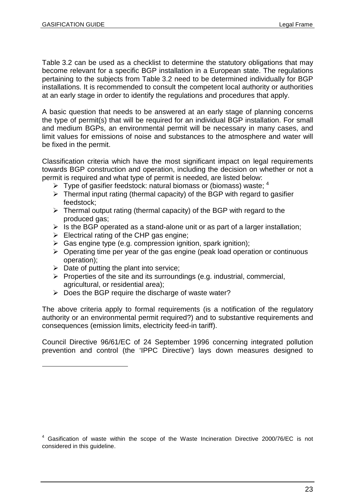Table 3.2 can be used as a checklist to determine the statutory obligations that may become relevant for a specific BGP installation in a European state. The regulations pertaining to the subjects from Table 3.2 need to be determined individually for BGP installations. It is recommended to consult the competent local authority or authorities at an early stage in order to identify the regulations and procedures that apply.

A basic question that needs to be answered at an early stage of planning concerns the type of permit(s) that will be required for an individual BGP installation. For small and medium BGPs, an environmental permit will be necessary in many cases, and limit values for emissions of noise and substances to the atmosphere and water will be fixed in the permit.

Classification criteria which have the most significant impact on legal requirements towards BGP construction and operation, including the decision on whether or not a permit is required and what type of permit is needed, are listed below:

- $\triangleright$  Type of gasifier feedstock: natural biomass or (biomass) waste:  $4$
- $\triangleright$  Thermal input rating (thermal capacity) of the BGP with regard to gasifier feedstock;
- $\triangleright$  Thermal output rating (thermal capacity) of the BGP with regard to the produced gas;
- $\triangleright$  is the BGP operated as a stand-alone unit or as part of a larger installation;
- $\triangleright$  Electrical rating of the CHP gas engine;
- $\triangleright$  Gas engine type (e.g. compression ignition, spark ignition);
- $\triangleright$  Operating time per year of the gas engine (peak load operation or continuous operation);
- $\triangleright$  Date of putting the plant into service;
- $\triangleright$  Properties of the site and its surroundings (e.g. industrial, commercial, agricultural, or residential area);
- $\triangleright$  Does the BGP require the discharge of waste water?

The above criteria apply to formal requirements (is a notification of the regulatory authority or an environmental permit required?) and to substantive requirements and consequences (emission limits, electricity feed-in tariff).

Council Directive 96/61/EC of 24 September 1996 concerning integrated pollution prevention and control (the 'IPPC Directive') lays down measures designed to

<sup>&</sup>lt;sup>4</sup> Gasification of waste within the scope of the Waste Incineration Directive 2000/76/EC is not considered in this guideline.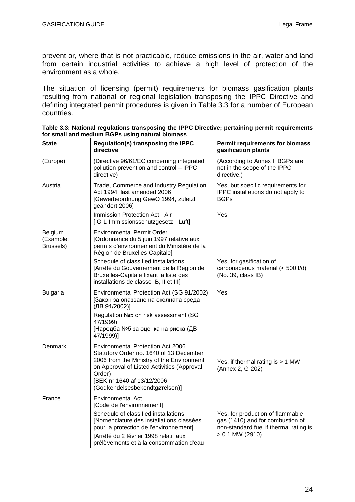prevent or, where that is not practicable, reduce emissions in the air, water and land from certain industrial activities to achieve a high level of protection of the environment as a whole.

The situation of licensing (permit) requirements for biomass gasification plants resulting from national or regional legislation transposing the IPPC Directive and defining integrated permit procedures is given in Table 3.3 for a number of European countries.

| <b>State</b>                      | <b>Regulation(s) transposing the IPPC</b><br>directive                                                                                                                                                                                                           | <b>Permit requirements for biomass</b><br>gasification plants                                                                       |
|-----------------------------------|------------------------------------------------------------------------------------------------------------------------------------------------------------------------------------------------------------------------------------------------------------------|-------------------------------------------------------------------------------------------------------------------------------------|
| (Europe)                          | (Directive 96/61/EC concerning integrated<br>pollution prevention and control - IPPC<br>directive)                                                                                                                                                               | (According to Annex I, BGPs are<br>not in the scope of the IPPC<br>directive.)                                                      |
| Austria                           | Trade, Commerce and Industry Regulation<br>Act 1994, last amended 2006<br>[Gewerbeordnung GewO 1994, zuletzt<br>geändert 2006]<br>Immission Protection Act - Air                                                                                                 | Yes, but specific requirements for<br>IPPC installations do not apply to<br><b>BGPs</b><br>Yes                                      |
|                                   | [IG-L Immissionsschutzgesetz - Luft]                                                                                                                                                                                                                             |                                                                                                                                     |
| Belgium<br>(Example:<br>Brussels) | <b>Environmental Permit Order</b><br>[Ordonnance du 5 juin 1997 relative aux<br>permis d'environnement du Ministère de la<br>Région de Bruxelles-Capitale]                                                                                                       |                                                                                                                                     |
|                                   | Schedule of classified installations<br>[Arrêté du Gouvernement de la Région de<br>Bruxelles-Capitale fixant la liste des<br>installations de classe IB, II et III]                                                                                              | Yes, for gasification of<br>carbonaceous material (< 500 t/d)<br>(No. 39, class IB)                                                 |
| <b>Bulgaria</b>                   | Environmental Protection Act (SG 91/2002)<br>[Закон за опазване на околната среда<br>(ДВ 91/2002)]                                                                                                                                                               | Yes                                                                                                                                 |
|                                   | Regulation №5 on risk assessment (SG<br>47/1999)<br>[Наредба №5 за оценка на риска (ДВ<br>47/1999)]                                                                                                                                                              |                                                                                                                                     |
| Denmark                           | <b>Environmental Protection Act 2006</b><br>Statutory Order no. 1640 of 13 December<br>2006 from the Ministry of the Environment<br>on Approval of Listed Activities (Approval<br>Order)<br>[BEK nr 1640 af 13/12/2006<br>(Godkendelsesbekendtgørelsen)]         | Yes, if thermal rating is > 1 MW<br>(Annex 2, G 202)                                                                                |
| France                            | Environmental Act<br>[Code de l'environnement]<br>Schedule of classified installations<br>[Nomenclature des installations classées<br>pour la protection de l'environnement]<br>[Arrêté du 2 février 1998 relatif aux<br>prélèvements et à la consommation d'eau | Yes, for production of flammable<br>gas (1410) and for combustion of<br>non-standard fuel if thermal rating is<br>$> 0.1$ MW (2910) |

**Table 3.3: National regulations transposing the IPPC Directive; pertaining permit requirements for small and medium BGPs using natural biomass**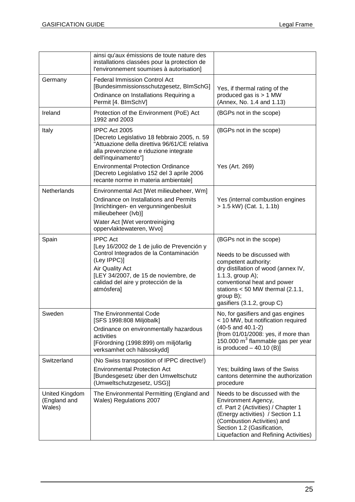|                                          | ainsi qu'aux émissions de toute nature des<br>installations classées pour la protection de<br>l'environnement soumises à autorisation]                                                                                                                                                                             |                                                                                                                                                                                                                                                          |
|------------------------------------------|--------------------------------------------------------------------------------------------------------------------------------------------------------------------------------------------------------------------------------------------------------------------------------------------------------------------|----------------------------------------------------------------------------------------------------------------------------------------------------------------------------------------------------------------------------------------------------------|
| Germany                                  | <b>Federal Immission Control Act</b><br>[Bundesimmissionsschutzgesetz, BImSchG]<br>Ordinance on Installations Requiring a<br>Permit [4. BlmSchV]                                                                                                                                                                   | Yes, if thermal rating of the<br>produced gas is $> 1$ MW<br>(Annex, No. 1.4 and 1.13)                                                                                                                                                                   |
| Ireland                                  | Protection of the Environment (PoE) Act<br>1992 and 2003                                                                                                                                                                                                                                                           | (BGPs not in the scope)                                                                                                                                                                                                                                  |
| Italy                                    | IPPC Act 2005<br>[Decreto Legislativo 18 febbraio 2005, n. 59<br>"Attuazione della direttiva 96/61/CE relativa<br>alla prevenzione e riduzione integrate<br>dell'inquinamento"]<br><b>Environmental Protection Ordinance</b><br>[Decreto Legislativo 152 del 3 aprile 2006<br>recante norme in materia ambientale] | (BGPs not in the scope)<br>Yes (Art. 269)                                                                                                                                                                                                                |
| Netherlands                              | Environmental Act [Wet milieubeheer, Wm]<br>Ordinance on Installations and Permits<br>[Inrichtingen- en vergunningenbesluit<br>milieubeheer (Ivb)]<br>Water Act [Wet verontreiniging<br>oppervlaktewateren, Wvo]                                                                                                   | Yes (internal combustion engines<br>$> 1.5$ kW) (Cat. 1, 1.1b)                                                                                                                                                                                           |
| Spain                                    | <b>IPPC Act</b><br>[Ley 16/2002 de 1 de julio de Prevención y<br>Control Integrados de la Contaminación<br>(Ley IPPC)]<br>Air Quality Act<br>[LEY 34/2007, de 15 de noviembre, de<br>calidad del aire y protección de la<br>atmósfera]                                                                             | (BGPs not in the scope)<br>Needs to be discussed with<br>competent authority:<br>dry distillation of wood (annex IV,<br>1.1.3, group A);<br>conventional heat and power<br>stations $< 50$ MW thermal (2.1.1,<br>group B);<br>gasifiers (3.1.2, group C) |
| Sweden                                   | The Environmental Code<br>[SFS 1998:808 Miljöbalk]<br>Ordinance on environmentally hazardous<br>activities<br>[Förordning (1998:899) om miljöfarlig<br>verksamhet och hälsoskydd]                                                                                                                                  | No, for gasifiers and gas engines<br>< 10 MW, but notification required<br>(40-5 and 40.1-2)<br>[from 01/01/2008: yes, if more than<br>150.000 m <sup>3</sup> flammable gas per year<br>is produced $-40.10$ (B)]                                        |
| Switzerland                              | (No Swiss transposition of IPPC directive!)<br><b>Environmental Protection Act</b><br>[Bundesgesetz über den Umweltschutz<br>(Umweltschutzgesetz, USG)]                                                                                                                                                            | Yes; building laws of the Swiss<br>cantons determine the authorization<br>procedure                                                                                                                                                                      |
| United Kingdom<br>(England and<br>Wales) | The Environmental Permitting (England and<br>Wales) Regulations 2007                                                                                                                                                                                                                                               | Needs to be discussed with the<br>Environment Agency,<br>cf. Part 2 (Activities) / Chapter 1<br>(Energy activities) / Section 1.1<br>(Combustion Activities) and<br>Section 1.2 (Gasification,<br>Liquefaction and Refining Activities)                  |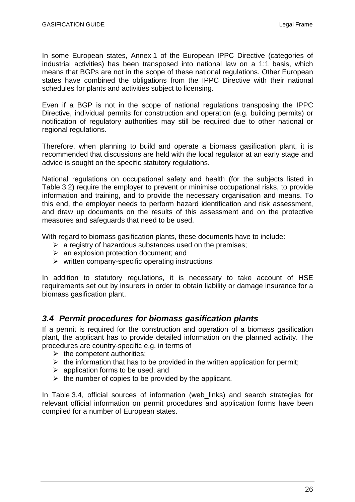In some European states, Annex 1 of the European IPPC Directive (categories of industrial activities) has been transposed into national law on a 1:1 basis, which means that BGPs are not in the scope of these national regulations. Other European states have combined the obligations from the IPPC Directive with their national schedules for plants and activities subject to licensing.

Even if a BGP is not in the scope of national regulations transposing the IPPC Directive, individual permits for construction and operation (e.g. building permits) or notification of regulatory authorities may still be required due to other national or regional regulations.

Therefore, when planning to build and operate a biomass gasification plant, it is recommended that discussions are held with the local regulator at an early stage and advice is sought on the specific statutory regulations.

National regulations on occupational safety and health (for the subjects listed in Table 3.2) require the employer to prevent or minimise occupational risks, to provide information and training, and to provide the necessary organisation and means. To this end, the employer needs to perform hazard identification and risk assessment, and draw up documents on the results of this assessment and on the protective measures and safeguards that need to be used.

With regard to biomass gasification plants, these documents have to include:

- $\triangleright$  a registry of hazardous substances used on the premises:
- $\triangleright$  an explosion protection document; and
- $\triangleright$  written company-specific operating instructions.

In addition to statutory regulations, it is necessary to take account of HSE requirements set out by insurers in order to obtain liability or damage insurance for a biomass gasification plant.

## *3.4 Permit procedures for biomass gasification plants*

If a permit is required for the construction and operation of a biomass gasification plant, the applicant has to provide detailed information on the planned activity. The procedures are country-specific e.g. in terms of

- $\triangleright$  the competent authorities;
- $\triangleright$  the information that has to be provided in the written application for permit;
- $\triangleright$  application forms to be used; and
- $\triangleright$  the number of copies to be provided by the applicant.

In Table 3.4, official sources of information (web\_links) and search strategies for relevant official information on permit procedures and application forms have been compiled for a number of European states.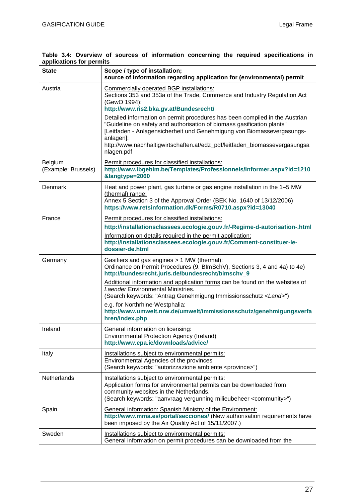| Table 3.4: Overview of sources of information concerning the required specifications in |  |  |  |  |  |
|-----------------------------------------------------------------------------------------|--|--|--|--|--|
| applications for permits                                                                |  |  |  |  |  |

| <b>State</b>                   | Scope / type of installation;<br>source of information regarding application for (environmental) permit                                                                                                                                                       |
|--------------------------------|---------------------------------------------------------------------------------------------------------------------------------------------------------------------------------------------------------------------------------------------------------------|
| Austria                        | Commercially operated BGP installations:<br>Sections 353 and 353a of the Trade, Commerce and Industry Regulation Act<br>(GewO 1994):<br>http://www.ris2.bka.gv.at/Bundesrecht/<br>Detailed information on permit procedures has been compiled in the Austrian |
|                                | "Guideline on safety and authorisation of biomass gasification plants"<br>[Leitfaden - Anlagensicherheit und Genehmigung von Biomassevergasungs-<br>anlagen]:<br>http://www.nachhaltigwirtschaften.at/edz_pdf/leitfaden_biomassevergasungsa<br>nlagen.pdf     |
| Belgium<br>(Example: Brussels) | Permit procedures for classified installations:<br>http://www.ibgebim.be/Templates/Professionnels/Informer.aspx?id=1210<br>&langtype=2060                                                                                                                     |
| <b>Denmark</b>                 | Heat and power plant, gas turbine or gas engine installation in the 1-5 MW<br>(thermal) range:<br>Annex 5 Section 3 of the Approval Order (BEK No. 1640 of 13/12/2006)<br>https://www.retsinformation.dk/Forms/R0710.aspx?id=13040                            |
| France                         | Permit procedures for classified installations:<br>http://installationsclassees.ecologie.gouv.fr/-Regime-d-autorisation-.html                                                                                                                                 |
|                                | Information on details required in the permit application:<br>http://installationsclassees.ecologie.gouv.fr/Comment-constituer-le-<br>dossier-de.html                                                                                                         |
| Germany                        | Gasifiers and gas engines > 1 MW (thermal):<br>Ordinance on Permit Procedures (9. BlmSchV), Sections 3, 4 and 4a) to 4e)<br>http://bundesrecht.juris.de/bundesrecht/bimschv_9                                                                                 |
|                                | Additional information and application forms can be found on the websites of<br><b>Laender Environmental Ministries.</b><br>(Search keywords: "Antrag Genehmigung Immissionsschutz <land>")</land>                                                            |
|                                | e.g. for Northrhine-Westphalia:<br>http://www.umwelt.nrw.de/umwelt/immissionsschutz/genehmigungsverfa<br>hren/index.php                                                                                                                                       |
| Ireland                        | General information on licensing:<br>Environmental Protection Agency (Ireland)<br>http://www.epa.ie/downloads/advice/                                                                                                                                         |
| Italy                          | Installations subject to environmental permits:<br>Environmental Agencies of the provinces<br>(Search keywords: "autorizzazione ambiente <province>")</province>                                                                                              |
| Netherlands                    | Installations subject to environmental permits:<br>Application forms for environmental permits can be downloaded from<br>community websites in the Netherlands.<br>(Search keywords: "aanvraag vergunning milieubeheer <community>")</community>              |
| Spain                          | General information: Spanish Ministry of the Environment:<br>http://www.mma.es/portal/secciones/ (New authorisation requirements have<br>been imposed by the Air Quality Act of 15/11/2007.)                                                                  |
| Sweden                         | Installations subject to environmental permits:<br>General information on permit procedures can be downloaded from the                                                                                                                                        |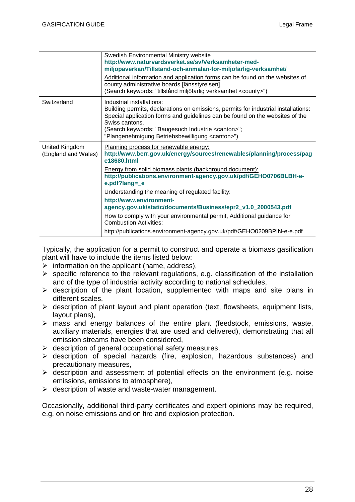|                                       | Swedish Environmental Ministry website<br>http://www.naturvardsverket.se/sv/Verksamheter-med-<br>miljopaverkan/Tillstand-och-anmalan-for-miljofarlig-verksamhet/                                                                                                                                                                             |
|---------------------------------------|----------------------------------------------------------------------------------------------------------------------------------------------------------------------------------------------------------------------------------------------------------------------------------------------------------------------------------------------|
|                                       | Additional information and application forms can be found on the websites of<br>county administrative boards [länsstyrelsen].<br>(Search keywords: "tillstånd miljöfarlig verksamhet <county>")</county>                                                                                                                                     |
| Switzerland                           | Industrial installations:<br>Building permits, declarations on emissions, permits for industrial installations:<br>Special application forms and guidelines can be found on the websites of the<br>Swiss cantons.<br>(Search keywords: "Baugesuch Industrie <canton>";<br/>"Plangenehmigung Betriebsbewilligung <canton>")</canton></canton> |
|                                       |                                                                                                                                                                                                                                                                                                                                              |
| United Kingdom<br>(England and Wales) | Planning process for renewable energy:<br>http://www.berr.gov.uk/energy/sources/renewables/planning/process/pag<br>e18680.html                                                                                                                                                                                                               |
|                                       | <b>Energy from solid biomass plants (background document):</b><br>http://publications.environment-agency.gov.uk/pdf/GEHO0706BLBH-e-<br>e.pdf?lang=_e                                                                                                                                                                                         |
|                                       | Understanding the meaning of regulated facility:                                                                                                                                                                                                                                                                                             |
|                                       | http://www.environment-<br>agency.gov.uk/static/documents/Business/epr2_v1.0_2000543.pdf                                                                                                                                                                                                                                                     |
|                                       | How to comply with your environmental permit, Additional guidance for<br><b>Combustion Activities:</b>                                                                                                                                                                                                                                       |

Typically, the application for a permit to construct and operate a biomass gasification plant will have to include the items listed below:

- $\triangleright$  information on the applicant (name, address),
- $\triangleright$  specific reference to the relevant regulations, e.g. classification of the installation and of the type of industrial activity according to national schedules,
- $\triangleright$  description of the plant location, supplemented with maps and site plans in different scales.
- $\triangleright$  description of plant layout and plant operation (text, flowsheets, equipment lists, layout plans),
- $\triangleright$  mass and energy balances of the entire plant (feedstock, emissions, waste, auxiliary materials, energies that are used and delivered), demonstrating that all emission streams have been considered,
- $\triangleright$  description of general occupational safety measures,
- $\triangleright$  description of special hazards (fire, explosion, hazardous substances) and precautionary measures,
- $\triangleright$  description and assessment of potential effects on the environment (e.g. noise emissions, emissions to atmosphere),
- $\triangleright$  description of waste and waste-water management.

Occasionally, additional third-party certificates and expert opinions may be required, e.g. on noise emissions and on fire and explosion protection.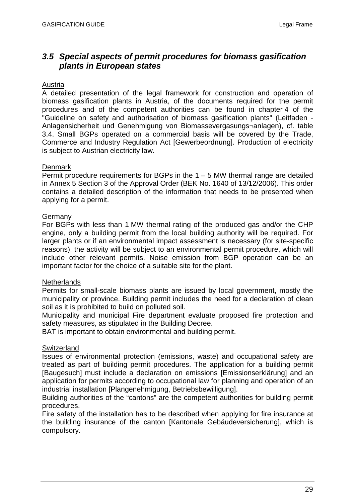## *3.5 Special aspects of permit procedures for biomass gasification plants in European states*

#### Austria

A detailed presentation of the legal framework for construction and operation of biomass gasification plants in Austria, of the documents required for the permit procedures and of the competent authorities can be found in chapter 4 of the "Guideline on safety and authorisation of biomass gasification plants" (Leitfaden - Anlagensicherheit und Genehmigung von Biomassevergasungs¬anlagen), cf. table 3.4. Small BGPs operated on a commercial basis will be covered by the Trade, Commerce and Industry Regulation Act [Gewerbeordnung]. Production of electricity is subject to Austrian electricity law.

#### **Denmark**

Permit procedure requirements for BGPs in the  $1 - 5$  MW thermal range are detailed in Annex 5 Section 3 of the Approval Order (BEK No. 1640 of 13/12/2006). This order contains a detailed description of the information that needs to be presented when applying for a permit.

#### Germany

For BGPs with less than 1 MW thermal rating of the produced gas and/or the CHP engine, only a building permit from the local building authority will be required. For larger plants or if an environmental impact assessment is necessary (for site-specific reasons), the activity will be subject to an environmental permit procedure, which will include other relevant permits. Noise emission from BGP operation can be an important factor for the choice of a suitable site for the plant.

#### **Netherlands**

Permits for small-scale biomass plants are issued by local government, mostly the municipality or province. Building permit includes the need for a declaration of clean soil as it is prohibited to build on polluted soil.

Municipality and municipal Fire department evaluate proposed fire protection and safety measures, as stipulated in the Building Decree.

BAT is important to obtain environmental and building permit.

#### **Switzerland**

Issues of environmental protection (emissions, waste) and occupational safety are treated as part of building permit procedures. The application for a building permit [Baugesuch] must include a declaration on emissions [Emissionserklärung] and an application for permits according to occupational law for planning and operation of an industrial installation [Plangenehmigung, Betriebsbewilligung].

Building authorities of the "cantons" are the competent authorities for building permit procedures.

Fire safety of the installation has to be described when applying for fire insurance at the building insurance of the canton [Kantonale Gebäudeversicherung], which is compulsory.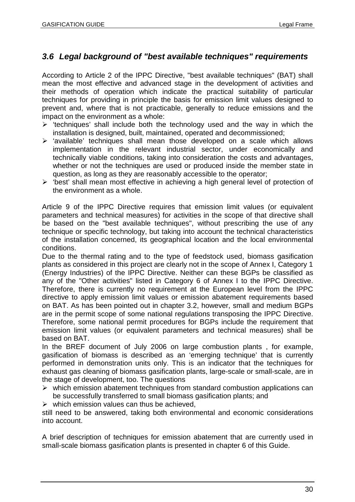## *3.6 Legal background of "best available techniques" requirements*

According to Article 2 of the IPPC Directive, "best available techniques" (BAT) shall mean the most effective and advanced stage in the development of activities and their methods of operation which indicate the practical suitability of particular techniques for providing in principle the basis for emission limit values designed to prevent and, where that is not practicable, generally to reduce emissions and the impact on the environment as a whole:

- $\triangleright$  'techniques' shall include both the technology used and the way in which the installation is designed, built, maintained, operated and decommissioned;
- $\triangleright$  'available' techniques shall mean those developed on a scale which allows implementation in the relevant industrial sector, under economically and technically viable conditions, taking into consideration the costs and advantages, whether or not the techniques are used or produced inside the member state in question, as long as they are reasonably accessible to the operator;
- 'best' shall mean most effective in achieving a high general level of protection of the environment as a whole.

Article 9 of the IPPC Directive requires that emission limit values (or equivalent parameters and technical measures) for activities in the scope of that directive shall be based on the "best available techniques", without prescribing the use of any technique or specific technology, but taking into account the technical characteristics of the installation concerned, its geographical location and the local environmental conditions.

Due to the thermal rating and to the type of feedstock used, biomass gasification plants as considered in this project are clearly not in the scope of Annex I, Category 1 (Energy Industries) of the IPPC Directive. Neither can these BGPs be classified as any of the "Other activities" listed in Category 6 of Annex I to the IPPC Directive. Therefore, there is currently no requirement at the European level from the IPPC directive to apply emission limit values or emission abatement requirements based on BAT. As has been pointed out in chapter 3.2, however, small and medium BGPs are in the permit scope of some national regulations transposing the IPPC Directive. Therefore, some national permit procedures for BGPs include the requirement that emission limit values (or equivalent parameters and technical measures) shall be based on BAT.

In the BREF document of July 2006 on large combustion plants , for example, gasification of biomass is described as an 'emerging technique' that is currently performed in demonstration units only. This is an indicator that the techniques for exhaust gas cleaning of biomass gasification plants, large-scale or small-scale, are in the stage of development, too. The questions

- $\triangleright$  which emission abatement techniques from standard combustion applications can be successfully transferred to small biomass gasification plants; and
- $\triangleright$  which emission values can thus be achieved,

still need to be answered, taking both environmental and economic considerations into account.

A brief description of techniques for emission abatement that are currently used in small-scale biomass gasification plants is presented in chapter 6 of this Guide.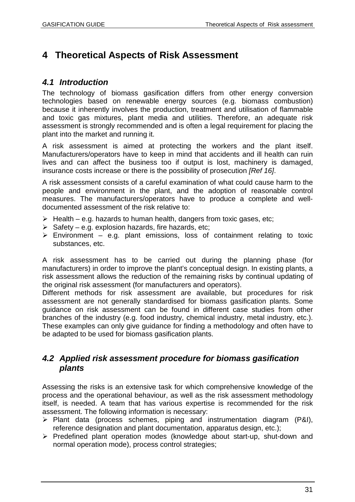# **4 Theoretical Aspects of Risk Assessment**

## *4.1 Introduction*

The technology of biomass gasification differs from other energy conversion technologies based on renewable energy sources (e.g. biomass combustion) because it inherently involves the production, treatment and utilisation of flammable and toxic gas mixtures, plant media and utilities. Therefore, an adequate risk assessment is strongly recommended and is often a legal requirement for placing the plant into the market and running it.

A risk assessment is aimed at protecting the workers and the plant itself. Manufacturers/operators have to keep in mind that accidents and ill health can ruin lives and can affect the business too if output is lost, machinery is damaged, insurance costs increase or there is the possibility of prosecution *[Ref 16]*.

A risk assessment consists of a careful examination of what could cause harm to the people and environment in the plant, and the adoption of reasonable control measures. The manufacturers/operators have to produce a complete and welldocumented assessment of the risk relative to:

- $\triangleright$  Health e.g. hazards to human health, dangers from toxic gases, etc:
- $\triangleright$  Safety e.g. explosion hazards, fire hazards, etc;
- $\triangleright$  Environment e.g. plant emissions, loss of containment relating to toxic substances, etc.

A risk assessment has to be carried out during the planning phase (for manufacturers) in order to improve the plant's conceptual design. In existing plants, a risk assessment allows the reduction of the remaining risks by continual updating of the original risk assessment (for manufacturers and operators).

Different methods for risk assessment are available, but procedures for risk assessment are not generally standardised for biomass gasification plants. Some guidance on risk assessment can be found in different case studies from other branches of the industry (e.g. food industry, chemical industry, metal industry, etc.). These examples can only give guidance for finding a methodology and often have to be adapted to be used for biomass gasification plants.

## *4.2 Applied risk assessment procedure for biomass gasification plants*

Assessing the risks is an extensive task for which comprehensive knowledge of the process and the operational behaviour, as well as the risk assessment methodology itself, is needed. A team that has various expertise is recommended for the risk assessment. The following information is necessary:

- $\triangleright$  Plant data (process schemes, piping and instrumentation diagram (P&I), reference designation and plant documentation, apparatus design, etc.);
- $\triangleright$  Predefined plant operation modes (knowledge about start-up, shut-down and normal operation mode), process control strategies;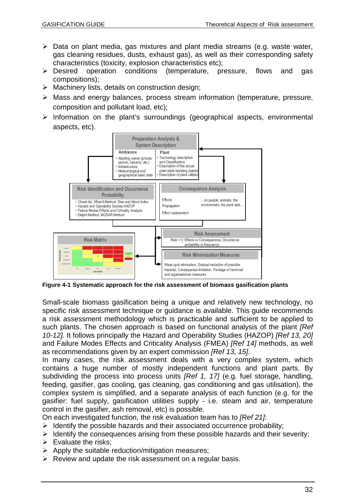- $\triangleright$  Data on plant media, gas mixtures and plant media streams (e.g. waste water, gas cleaning residues, dusts, exhaust gas), as well as their corresponding safety characteristics (toxicity, explosion characteristics etc);
- Desired operation conditions (temperature, pressure, flows and gas compositions);
- $\triangleright$  Machinery lists, details on construction design;
- Mass and energy balances, process stream information (temperature, pressure, composition and pollutant load, etc);
- $\triangleright$  Information on the plant's surroundings (geographical aspects, environmental aspects, etc).



**Figure 4-1 Systematic approach for the risk assessment of biomass gasification plants**

Small-scale biomass gasification being a unique and relatively new technology, no specific risk assessment technique or guidance is available. This guide recommends a risk assessment methodology which is practicable and sufficient to be applied to such plants. The chosen approach is based on functional analysis of the plant *[Ref 10-12].* It follows principally the Hazard and Operability Studies (HAZOP) *[Ref 13, 20]* and Failure Modes Effects and Criticality Analysis (FMEA) *[Ref 14]* methods, as well as recommendations given by an expert commission *[Ref 13, 15].*

In many cases, the risk assessment deals with a very complex system, which contains a huge number of mostly independent functions and plant parts. By subdividing the process into process units *[Ref 1, 17]* (e.g. fuel storage, handling, feeding, gasifier, gas cooling, gas cleaning, gas conditioning and gas utilisation), the complex system is simplified, and a separate analysis of each function (e.g. for the gasifier: fuel supply, gasification utilities supply - i.e. steam and air, temperature control in the gasifier, ash removal, etc) is possible.

On each investigated function, the risk evaluation team has to *[Ref 21]*:

- $\triangleright$  Identify the possible hazards and their associated occurrence probability;
- $\triangleright$  Identify the consequences arising from these possible hazards and their severity;
- $\triangleright$  Evaluate the risks:
- $\triangleright$  Apply the suitable reduction/mitigation measures;
- $\triangleright$  Review and update the risk assessment on a regular basis.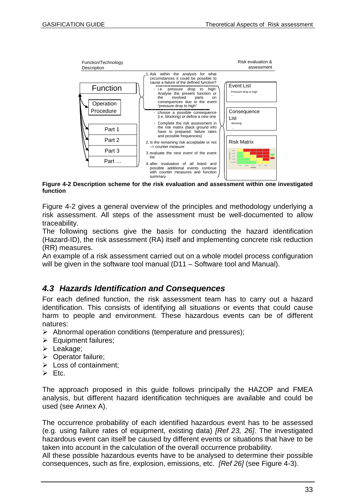

**Figure 4-2 Description scheme for the risk evaluation and assessment within one investigated function**

Figure 4-2 gives a general overview of the principles and methodology underlying a risk assessment. All steps of the assessment must be well-documented to allow traceability.

The following sections give the basis for conducting the hazard identification (Hazard-ID), the risk assessment (RA) itself and implementing concrete risk reduction (RR) measures.

An example of a risk assessment carried out on a whole model process configuration will be given in the software tool manual (D11 – Software tool and Manual).

## *4.3 Hazards Identification and Consequences*

For each defined function, the risk assessment team has to carry out a hazard identification. This consists of identifying all situations or events that could cause harm to people and environment. These hazardous events can be of different natures:

- $\triangleright$  Abnormal operation conditions (temperature and pressures);
- $\triangleright$  Equipment failures;
- > Leakage;
- ▶ Operator failure;
- $\triangleright$  Loss of containment:
- $\triangleright$  Etc.

The approach proposed in this guide follows principally the HAZOP and FMEA analysis, but different hazard identification techniques are available and could be used (see Annex A).

The occurrence probability of each identified hazardous event has to be assessed (e.g. using failure rates of equipment, existing data) *[Ref 23, 26]*. The investigated hazardous event can itself be caused by different events or situations that have to be taken into account in the calculation of the overall occurrence probability.

All these possible hazardous events have to be analysed to determine their possible consequences, such as fire, explosion, emissions, etc. *[Ref 26]* (see Figure 4-3).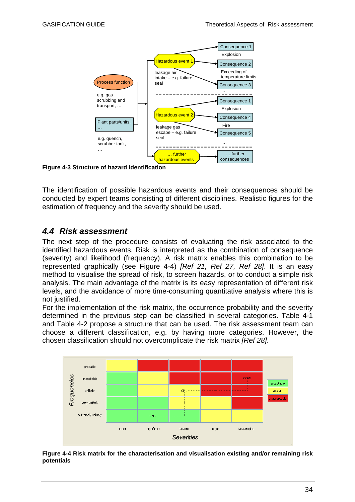

**Figure 4-3 Structure of hazard identification**

The identification of possible hazardous events and their consequences should be conducted by expert teams consisting of different disciplines. Realistic figures for the estimation of frequency and the severity should be used.

## *4.4 Risk assessment*

The next step of the procedure consists of evaluating the risk associated to the identified hazardous events. Risk is interpreted as the combination of consequence (severity) and likelihood (frequency). A risk matrix enables this combination to be represented graphically (see Figure 4-4) *[Ref 21, Ref 27, Ref 28]*. It is an easy method to visualise the spread of risk, to screen hazards, or to conduct a simple risk analysis. The main advantage of the matrix is its easy representation of different risk levels, and the avoidance of more time-consuming quantitative analysis where this is not justified.

For the implementation of the risk matrix, the occurrence probability and the severity determined in the previous step can be classified in several categories. Table 4-1 and Table 4-2 propose a structure that can be used. The risk assessment team can choose a different classification, e.g. by having more categories. However, the chosen classification should not overcomplicate the risk matrix *[Ref 28]*.



**Figure 4-4 Risk matrix for the characterisation and visualisation existing and/or remaining risk potentials**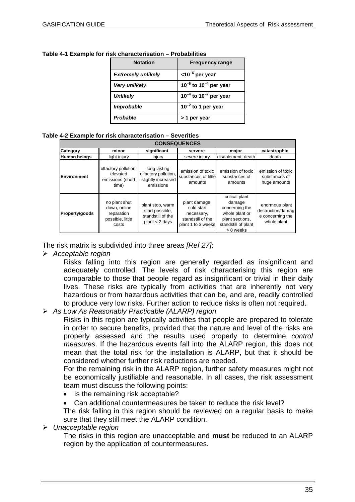| <b>Notation</b>           | <b>Frequency range</b>          |
|---------------------------|---------------------------------|
| <b>Extremely unlikely</b> | $<$ 10 <sup>-6</sup> per year   |
| Very unlikely             | $10^{-6}$ to $10^{-4}$ per year |
| <b>Unlikely</b>           | $10^{-4}$ to $10^{-2}$ per year |
| <b>Improbable</b>         | $10^{-2}$ to 1 per year         |
| Probable                  | > 1 per year                    |

#### **Table 4-1 Example for risk characterisation – Probabilities**

#### **Table 4-2 Example for risk characterisation – Severities**

| <b>CONSEQUENCES</b> |                                                                          |                                                                           |                                                                                      |                                                                                                                     |                                                                        |
|---------------------|--------------------------------------------------------------------------|---------------------------------------------------------------------------|--------------------------------------------------------------------------------------|---------------------------------------------------------------------------------------------------------------------|------------------------------------------------------------------------|
| Category            | minor                                                                    | significant                                                               | servere                                                                              | major                                                                                                               | catastrophic                                                           |
| Human beings        | light injury                                                             | injury                                                                    | severe injury                                                                        | disablement, death                                                                                                  | death                                                                  |
| <b>Environment</b>  | olfactory pollution,<br>elevated<br>emissions (short<br>time)            | long lasting<br>olfactory pollution,<br>slightly increased<br>emissions   | emission of toxic<br>substances of little<br>amounts                                 | emission of toxic<br>substances of<br>amounts                                                                       | emission of toxic<br>substances of<br>huge amounts                     |
| Property/goods      | no plant shut<br>down, online<br>reparation<br>possible, little<br>costs | plant stop, warm<br>start possible.<br>standstill of the<br>plan < 2 days | plant damage,<br>cold start<br>necessary,<br>standstill of the<br>plant 1 to 3 weeks | critical plant<br>damage<br>concerning the<br>whole plant or<br>plant sections,<br>standstill of plant<br>> 8 weeks | enormous plant<br>destruction/damag<br>e concerning the<br>whole plant |

The risk matrix is subdivided into three areas *[Ref 27]*:

*Acceptable region*

Risks falling into this region are generally regarded as insignificant and adequately controlled. The levels of risk characterising this region are comparable to those that people regard as insignificant or trivial in their daily lives. These risks are typically from activities that are inherently not very hazardous or from hazardous activities that can be, and are, readily controlled to produce very low risks. Further action to reduce risks is often not required.

#### *As Low As Reasonably Practicable (ALARP) region*

Risks in this region are typically activities that people are prepared to tolerate in order to secure benefits, provided that the nature and level of the risks are properly assessed and the results used properly to determine *control measures*. If the hazardous events fall into the ALARP region, this does not mean that the total risk for the installation is ALARP, but that it should be considered whether further risk reductions are needed.

For the remaining risk in the ALARP region, further safety measures might not be economically justifiable and reasonable. In all cases, the risk assessment team must discuss the following points:

- Is the remaining risk acceptable?
- Can additional countermeasures be taken to reduce the risk level?

The risk falling in this region should be reviewed on a regular basis to make sure that they still meet the ALARP condition.

*Unacceptable region*

The risks in this region are unacceptable and **must** be reduced to an ALARP region by the application of countermeasures.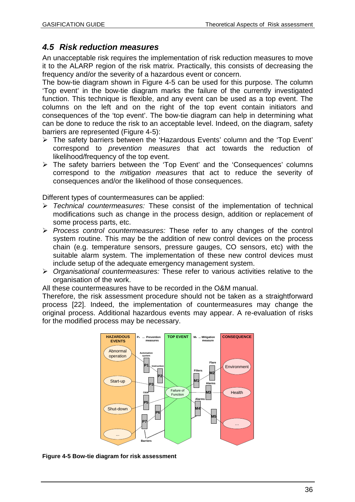# *4.5 Risk reduction measures*

An unacceptable risk requires the implementation of risk reduction measures to move it to the ALARP region of the risk matrix. Practically, this consists of decreasing the frequency and/or the severity of a hazardous event or concern.

The bow-tie diagram shown in Figure 4-5 can be used for this purpose. The column 'Top event' in the bow-tie diagram marks the failure of the currently investigated function. This technique is flexible, and any event can be used as a top event. The columns on the left and on the right of the top event contain initiators and consequences of the 'top event'. The bow-tie diagram can help in determining what can be done to reduce the risk to an acceptable level. Indeed, on the diagram, safety barriers are represented (Figure 4-5):

- The safety barriers between the 'Hazardous Events' column and the 'Top Event' correspond to *prevention measures* that act towards the reduction of likelihood/frequency of the top event.
- The safety barriers between the 'Top Event' and the 'Consequences' columns correspond to the *mitigation measures* that act to reduce the severity of consequences and/or the likelihood of those consequences.

Different types of countermeasures can be applied:

- *Technical countermeasures:* These consist of the implementation of technical modifications such as change in the process design, addition or replacement of some process parts, etc.
- *Process control countermeasures:* These refer to any changes of the control system routine. This may be the addition of new control devices on the process chain (e.g. temperature sensors, pressure gauges, CO sensors, etc) with the suitable alarm system. The implementation of these new control devices must include setup of the adequate emergency management system.
- *Organisational countermeasures:* These refer to various activities relative to the organisation of the work.

All these countermeasures have to be recorded in the O&M manual.

Therefore, the risk assessment procedure should not be taken as a straightforward process [22]. Indeed, the implementation of countermeasures may change the original process. Additional hazardous events may appear. A re-evaluation of risks for the modified process may be necessary.



**Figure 4-5 Bow-tie diagram for risk assessment**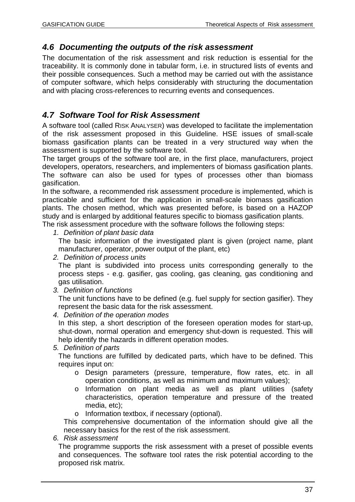## *4.6 Documenting the outputs of the risk assessment*

The documentation of the risk assessment and risk reduction is essential for the traceability. It is commonly done in tabular form, i.e. in structured lists of events and their possible consequences. Such a method may be carried out with the assistance of computer software, which helps considerably with structuring the documentation and with placing cross-references to recurring events and consequences.

## *4.7 Software Tool for Risk Assessment*

A software tool (called RISK ANALYSER) was developed to facilitate the implementation of the risk assessment proposed in this Guideline. HSE issues of small-scale biomass gasification plants can be treated in a very structured way when the assessment is supported by the software tool.

The target groups of the software tool are, in the first place, manufacturers, project developers, operators, researchers, and implementers of biomass gasification plants. The software can also be used for types of processes other than biomass gasification.

In the software, a recommended risk assessment procedure is implemented, which is practicable and sufficient for the application in small-scale biomass gasification plants. The chosen method, which was presented before, is based on a HAZOP study and is enlarged by additional features specific to biomass gasification plants.

The risk assessment procedure with the software follows the following steps:

*1. Definition of plant basic data*

The basic information of the investigated plant is given (project name, plant manufacturer, operator, power output of the plant, etc)

*2. Definition of process units*

The plant is subdivided into process units corresponding generally to the process steps - e.g. gasifier, gas cooling, gas cleaning, gas conditioning and gas utilisation.

*3. Definition of functions*

The unit functions have to be defined (e.g. fuel supply for section gasifier). They represent the basic data for the risk assessment.

*4. Definition of the operation modes*

In this step, a short description of the foreseen operation modes for start-up, shut-down, normal operation and emergency shut-down is requested. This will help identify the hazards in different operation modes.

#### *5. Definition of parts*

The functions are fulfilled by dedicated parts, which have to be defined. This requires input on:

- o Design parameters (pressure, temperature, flow rates, etc. in all operation conditions, as well as minimum and maximum values);
- o Information on plant media as well as plant utilities (safety characteristics, operation temperature and pressure of the treated media, etc);
- o Information textbox, if necessary (optional).

This comprehensive documentation of the information should give all the necessary basics for the rest of the risk assessment.

#### *6. Risk assessment*

The programme supports the risk assessment with a preset of possible events and consequences. The software tool rates the risk potential according to the proposed risk matrix.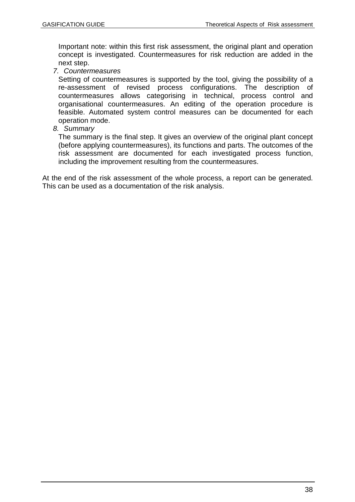Important note: within this first risk assessment, the original plant and operation concept is investigated. Countermeasures for risk reduction are added in the next step.

#### *7. Countermeasures*

Setting of countermeasures is supported by the tool, giving the possibility of a re-assessment of revised process configurations. The description of countermeasures allows categorising in technical, process control and organisational countermeasures. An editing of the operation procedure is feasible. Automated system control measures can be documented for each operation mode.

*8. Summary*

The summary is the final step. It gives an overview of the original plant concept (before applying countermeasures), its functions and parts. The outcomes of the risk assessment are documented for each investigated process function, including the improvement resulting from the countermeasures.

At the end of the risk assessment of the whole process, a report can be generated. This can be used as a documentation of the risk analysis.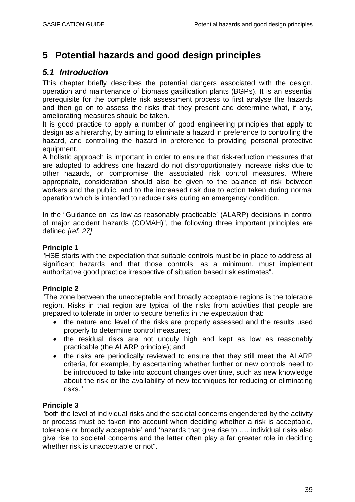# **5 Potential hazards and good design principles**

## *5.1 Introduction*

This chapter briefly describes the potential dangers associated with the design, operation and maintenance of biomass gasification plants (BGPs). It is an essential prerequisite for the complete risk assessment process to first analyse the hazards and then go on to assess the risks that they present and determine what, if any, ameliorating measures should be taken.

It is good practice to apply a number of good engineering principles that apply to design as a hierarchy, by aiming to eliminate a hazard in preference to controlling the hazard, and controlling the hazard in preference to providing personal protective equipment.

A holistic approach is important in order to ensure that risk-reduction measures that are adopted to address one hazard do not disproportionately increase risks due to other hazards, or compromise the associated risk control measures. Where appropriate, consideration should also be given to the balance of risk between workers and the public, and to the increased risk due to action taken during normal operation which is intended to reduce risks during an emergency condition.

In the "Guidance on 'as low as reasonably practicable' (ALARP) decisions in control of major accident hazards (COMAH)", the following three important principles are defined *[ref. 27]*:

#### **Principle 1**

"HSE starts with the expectation that suitable controls must be in place to address all significant hazards and that those controls, as a minimum, must implement authoritative good practice irrespective of situation based risk estimates".

#### **Principle 2**

"The zone between the unacceptable and broadly acceptable regions is the tolerable region. Risks in that region are typical of the risks from activities that people are prepared to tolerate in order to secure benefits in the expectation that:

- the nature and level of the risks are properly assessed and the results used properly to determine control measures;
- the residual risks are not unduly high and kept as low as reasonably practicable (the ALARP principle); and
- the risks are periodically reviewed to ensure that they still meet the ALARP criteria, for example, by ascertaining whether further or new controls need to be introduced to take into account changes over time, such as new knowledge about the risk or the availability of new techniques for reducing or eliminating risks."

#### **Principle 3**

"both the level of individual risks and the societal concerns engendered by the activity or process must be taken into account when deciding whether a risk is acceptable, tolerable or broadly acceptable' and 'hazards that give rise to …. individual risks also give rise to societal concerns and the latter often play a far greater role in deciding whether risk is unacceptable or not".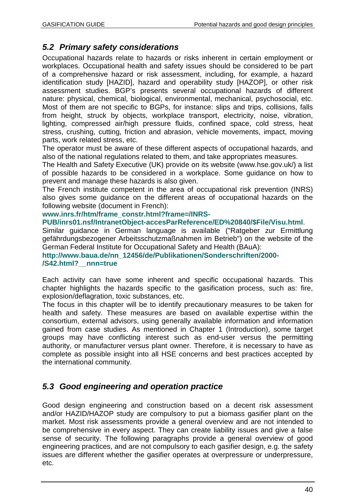## *5.2 Primary safety considerations*

Occupational hazards relate to hazards or risks inherent in certain employment or workplaces. Occupational health and safety issues should be considered to be part of a comprehensive hazard or risk assessment, including, for example, a hazard identification study [HAZID], hazard and operability study [HAZOP], or other risk assessment studies. BGP's presents several occupational hazards of different nature: physical, chemical, biological, environmental, mechanical, psychosocial, etc. Most of them are not specific to BGPs, for instance: slips and trips, collisions, falls from height, struck by objects, workplace transport, electricity, noise, vibration, lighting, compressed air/high pressure fluids, confined space, cold stress, heat stress, crushing, cutting, friction and abrasion, vehicle movements, impact, moving parts, work related stress, etc.

The operator must be aware of these different aspects of occupational hazards, and also of the national regulations related to them, and take appropriates measures.

The Health and Safety Executive (UK) provide on its website (www.hse.gov.uk/) a list of possible hazards to be considered in a workplace. Some guidance on how to prevent and manage these hazards is also given.

The French institute competent in the area of occupational risk prevention (INRS) also gives some guidance on the different areas of occupational hazards on the following website (document in French):

#### **www.inrs.fr/htm/frame\_constr.html?frame=/INRS-**

**PUB/inrs01.nsf/IntranetObject-accesParReference/ED%20840/\$File/Visu.html**.

Similar guidance in German language is available ("Ratgeber zur Ermittlung gefährdungsbezogener Arbeitsschutzmaßnahmen im Betrieb") on the website of the German Federal Institute for Occupational Safety and Health (BAuA):

**http://www.baua.de/nn\_12456/de/Publikationen/Sonderschriften/2000- /S42.html?\_\_nnn=true**

Each activity can have some inherent and specific occupational hazards. This chapter highlights the hazards specific to the gasification process, such as: fire, explosion/deflagration, toxic substances, etc.

The focus in this chapter will be to identify precautionary measures to be taken for health and safety. These measures are based on available expertise within the consortium, external advisors, using generally available information and information gained from case studies. As mentioned in Chapter 1 (Introduction), some target groups may have conflicting interest such as end-user versus the permitting authority, or manufacturer versus plant owner. Therefore, it is necessary to have as complete as possible insight into all HSE concerns and best practices accepted by the international community.

## *5.3 Good engineering and operation practice*

Good design engineering and construction based on a decent risk assessment and/or HAZID/HAZOP study are compulsory to put a biomass gasifier plant on the market. Most risk assessments provide a general overview and are not intended to be comprehensive in every aspect. They can create liability issues and give a false sense of security. The following paragraphs provide a general overview of good engineering practices, and are not compulsory to each gasifier design, e.g. the safety issues are different whether the gasifier operates at overpressure or underpressure, etc.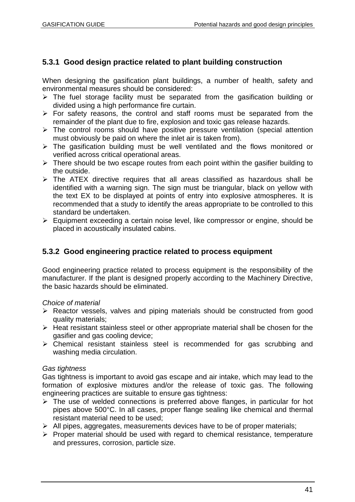## **5.3.1 Good design practice related to plant building construction**

When designing the gasification plant buildings, a number of health, safety and environmental measures should be considered:

- $\triangleright$  The fuel storage facility must be separated from the gasification building or divided using a high performance fire curtain.
- $\triangleright$  For safety reasons, the control and staff rooms must be separated from the remainder of the plant due to fire, explosion and toxic gas release hazards.
- $\triangleright$  The control rooms should have positive pressure ventilation (special attention must obviously be paid on where the inlet air is taken from).
- $\triangleright$  The gasification building must be well ventilated and the flows monitored or verified across critical operational areas.
- $\triangleright$  There should be two escape routes from each point within the gasifier building to the outside.
- $\triangleright$  The ATEX directive requires that all areas classified as hazardous shall be identified with a warning sign. The sign must be triangular, black on yellow with the text EX to be displayed at points of entry into explosive atmospheres. It is recommended that a study to identify the areas appropriate to be controlled to this standard be undertaken.
- $\triangleright$  Equipment exceeding a certain noise level, like compressor or engine, should be placed in acoustically insulated cabins.

## **5.3.2 Good engineering practice related to process equipment**

Good engineering practice related to process equipment is the responsibility of the manufacturer. If the plant is designed properly according to the Machinery Directive, the basic hazards should be eliminated.

#### *Choice of material*

- $\triangleright$  Reactor vessels, valves and piping materials should be constructed from good quality materials;
- $\triangleright$  Heat resistant stainless steel or other appropriate material shall be chosen for the gasifier and gas cooling device;
- Chemical resistant stainless steel is recommended for gas scrubbing and washing media circulation.

#### *Gas tightness*

Gas tightness is important to avoid gas escape and air intake, which may lead to the formation of explosive mixtures and/or the release of toxic gas. The following engineering practices are suitable to ensure gas tightness:

- $\triangleright$  The use of welded connections is preferred above flanges, in particular for hot pipes above 500°C. In all cases, proper flange sealing like chemical and thermal resistant material need to be used;
- $\triangleright$  All pipes, aggregates, measurements devices have to be of proper materials;
- $\triangleright$  Proper material should be used with regard to chemical resistance, temperature and pressures, corrosion, particle size.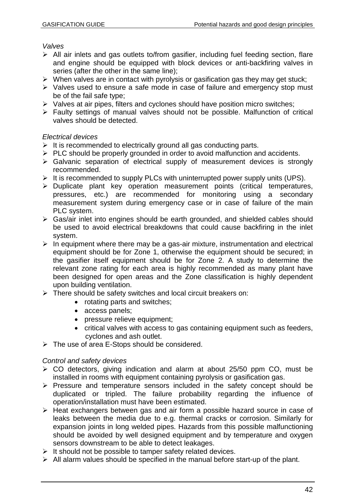*Valves*

- All air inlets and gas outlets to/from gasifier, including fuel feeding section, flare and engine should be equipped with block devices or anti-backfiring valves in series (after the other in the same line);
- $\triangleright$  When valves are in contact with pyrolysis or gasification gas they may get stuck;
- $\triangleright$  Valves used to ensure a safe mode in case of failure and emergency stop must be of the fail safe type;
- $\triangleright$  Valves at air pipes, filters and cyclones should have position micro switches;
- Faulty settings of manual valves should not be possible. Malfunction of critical valves should be detected.

*Electrical devices*

- $\triangleright$  It is recommended to electrically ground all gas conducting parts.
- $\triangleright$  PLC should be properly grounded in order to avoid malfunction and accidents.
- $\triangleright$  Galvanic separation of electrical supply of measurement devices is strongly recommended.
- $\triangleright$  It is recommended to supply PLCs with uninterrupted power supply units (UPS).
- > Duplicate plant key operation measurement points (critical temperatures, pressures, etc.) are recommended for monitoring using a secondary measurement system during emergency case or in case of failure of the main PLC system.
- $\triangleright$  Gas/air inlet into engines should be earth grounded, and shielded cables should be used to avoid electrical breakdowns that could cause backfiring in the inlet system.
- $\triangleright$  In equipment where there may be a gas-air mixture, instrumentation and electrical equipment should be for Zone 1, otherwise the equipment should be secured; in the gasifier itself equipment should be for Zone 2. A study to determine the relevant zone rating for each area is highly recommended as many plant have been designed for open areas and the Zone classification is highly dependent upon building ventilation.
- > There should be safety switches and local circuit breakers on:
	- rotating parts and switches;
	- access panels;
	- pressure relieve equipment;
	- critical valves with access to gas containing equipment such as feeders, cyclones and ash outlet.
- $\triangleright$  The use of area E-Stops should be considered.

#### *Control and safety devices*

- CO detectors, giving indication and alarm at about 25/50 ppm CO, must be installed in rooms with equipment containing pyrolysis or gasification gas.
- $\triangleright$  Pressure and temperature sensors included in the safety concept should be duplicated or tripled. The failure probability regarding the influence of operation/installation must have been estimated.
- $\triangleright$  Heat exchangers between gas and air form a possible hazard source in case of leaks between the media due to e.g. thermal cracks or corrosion. Similarly for expansion joints in long welded pipes. Hazards from this possible malfunctioning should be avoided by well designed equipment and by temperature and oxygen sensors downstream to be able to detect leakages.
- $\triangleright$  It should not be possible to tamper safety related devices.
- $\triangleright$  All alarm values should be specified in the manual before start-up of the plant.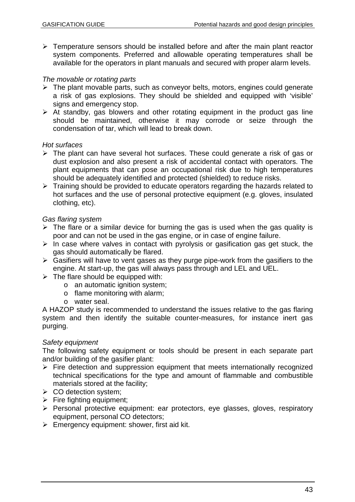$\triangleright$  Temperature sensors should be installed before and after the main plant reactor system components. Preferred and allowable operating temperatures shall be available for the operators in plant manuals and secured with proper alarm levels.

#### *The movable or rotating parts*

- $\triangleright$  The plant movable parts, such as conveyor belts, motors, engines could generate a risk of gas explosions. They should be shielded and equipped with 'visible' signs and emergency stop.
- $\triangleright$  At standby, gas blowers and other rotating equipment in the product gas line should be maintained, otherwise it may corrode or seize through the condensation of tar, which will lead to break down.

#### *Hot surfaces*

- $\triangleright$  The plant can have several hot surfaces. These could generate a risk of gas or dust explosion and also present a risk of accidental contact with operators. The plant equipments that can pose an occupational risk due to high temperatures should be adequately identified and protected (shielded) to reduce risks.
- $\triangleright$  Training should be provided to educate operators regarding the hazards related to hot surfaces and the use of personal protective equipment (e.g. gloves, insulated clothing, etc).

#### *Gas flaring system*

- $\triangleright$  The flare or a similar device for burning the gas is used when the gas quality is poor and can not be used in the gas engine, or in case of engine failure.
- $\triangleright$  In case where valves in contact with pyrolysis or gasification gas get stuck, the gas should automatically be flared.
- $\triangleright$  Gasifiers will have to vent gases as they purge pipe-work from the gasifiers to the engine. At start-up, the gas will always pass through and LEL and UEL.
- $\triangleright$  The flare should be equipped with:
	- o an automatic ignition system;
	- o flame monitoring with alarm;
	- o water seal.

A HAZOP study is recommended to understand the issues relative to the gas flaring system and then identify the suitable counter-measures, for instance inert gas purging.

#### *Safety equipment*

The following safety equipment or tools should be present in each separate part and/or building of the gasifier plant:

- $\triangleright$  Fire detection and suppression equipment that meets internationally recognized technical specifications for the type and amount of flammable and combustible materials stored at the facility;
- $\triangleright$  CO detection system;
- $\triangleright$  Fire fighting equipment;
- Personal protective equipment: ear protectors, eye glasses, gloves, respiratory equipment, personal CO detectors;
- $\triangleright$  Emergency equipment: shower, first aid kit.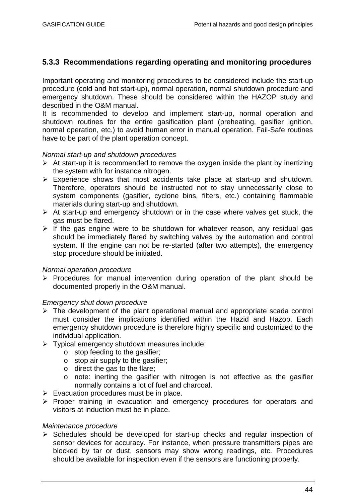## **5.3.3 Recommendations regarding operating and monitoring procedures**

Important operating and monitoring procedures to be considered include the start-up procedure (cold and hot start-up), normal operation, normal shutdown procedure and emergency shutdown. These should be considered within the HAZOP study and described in the O&M manual.

It is recommended to develop and implement start-up, normal operation and shutdown routines for the entire gasification plant (preheating, gasifier ignition, normal operation, etc.) to avoid human error in manual operation. Fail-Safe routines have to be part of the plant operation concept.

#### *Normal start-up and shutdown procedures*

- $\triangleright$  At start-up it is recommended to remove the oxygen inside the plant by inertizing the system with for instance nitrogen.
- $\triangleright$  Experience shows that most accidents take place at start-up and shutdown. Therefore, operators should be instructed not to stay unnecessarily close to system components (gasifier, cyclone bins, filters, etc.) containing flammable materials during start-up and shutdown.
- $\triangleright$  At start-up and emergency shutdown or in the case where valves get stuck, the gas must be flared.
- $\triangleright$  If the gas engine were to be shutdown for whatever reason, any residual gas should be immediately flared by switching valves by the automation and control system. If the engine can not be re-started (after two attempts), the emergency stop procedure should be initiated.

#### *Normal operation procedure*

 $\triangleright$  Procedures for manual intervention during operation of the plant should be documented properly in the O&M manual.

#### *Emergency shut down procedure*

- $\triangleright$  The development of the plant operational manual and appropriate scada control must consider the implications identified within the Hazid and Hazop. Each emergency shutdown procedure is therefore highly specific and customized to the individual application.
- $\triangleright$  Typical emergency shutdown measures include:
	- o stop feeding to the gasifier;
	- o stop air supply to the gasifier;
	- o direct the gas to the flare;
	- o note: inerting the gasifier with nitrogen is not effective as the gasifier normally contains a lot of fuel and charcoal.
- $\triangleright$  Evacuation procedures must be in place.
- $\triangleright$  Proper training in evacuation and emergency procedures for operators and visitors at induction must be in place.

#### *Maintenance procedure*

 $\triangleright$  Schedules should be developed for start-up checks and regular inspection of sensor devices for accuracy. For instance, when pressure transmitters pipes are blocked by tar or dust, sensors may show wrong readings, etc. Procedures should be available for inspection even if the sensors are functioning properly.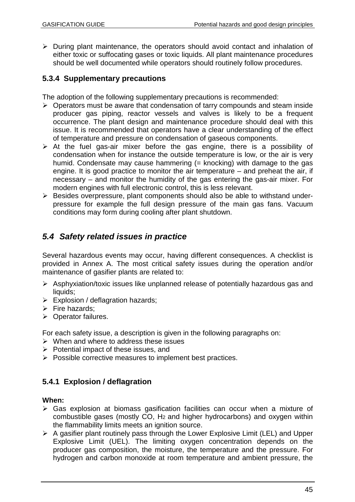$\triangleright$  During plant maintenance, the operators should avoid contact and inhalation of either toxic or suffocating gases or toxic liquids. All plant maintenance procedures should be well documented while operators should routinely follow procedures.

## **5.3.4 Supplementary precautions**

The adoption of the following supplementary precautions is recommended:

- $\triangleright$  Operators must be aware that condensation of tarry compounds and steam inside producer gas piping, reactor vessels and valves is likely to be a frequent occurrence. The plant design and maintenance procedure should deal with this issue. It is recommended that operators have a clear understanding of the effect of temperature and pressure on condensation of gaseous components.
- $\triangleright$  At the fuel gas-air mixer before the gas engine, there is a possibility of condensation when for instance the outside temperature is low, or the air is very humid. Condensate may cause hammering (= knocking) with damage to the gas engine. It is good practice to monitor the air temperature – and preheat the air, if necessary – and monitor the humidity of the gas entering the gas-air mixer. For modern engines with full electronic control, this is less relevant.
- Besides overpressure, plant components should also be able to withstand underpressure for example the full design pressure of the main gas fans. Vacuum conditions may form during cooling after plant shutdown.

# *5.4 Safety related issues in practice*

Several hazardous events may occur, having different consequences. A checklist is provided in Annex A. The most critical safety issues during the operation and/or maintenance of gasifier plants are related to:

- $\triangleright$  Asphyxiation/toxic issues like unplanned release of potentially hazardous gas and liquids:
- $\triangleright$  Explosion / deflagration hazards;
- $\triangleright$  Fire hazards;
- $\triangleright$  Operator failures.

For each safety issue, a description is given in the following paragraphs on:

- $\triangleright$  When and where to address these issues
- $\triangleright$  Potential impact of these issues, and
- $\triangleright$  Possible corrective measures to implement best practices.

## **5.4.1 Explosion / deflagration**

#### **When:**

- Gas explosion at biomass gasification facilities can occur when a mixture of combustible gases (mostly CO, H2 and higher hydrocarbons) and oxygen within the flammability limits meets an ignition source.
- $\triangleright$  A gasifier plant routinely pass through the Lower Explosive Limit (LEL) and Upper Explosive Limit (UEL). The limiting oxygen concentration depends on the producer gas composition, the moisture, the temperature and the pressure. For hydrogen and carbon monoxide at room temperature and ambient pressure, the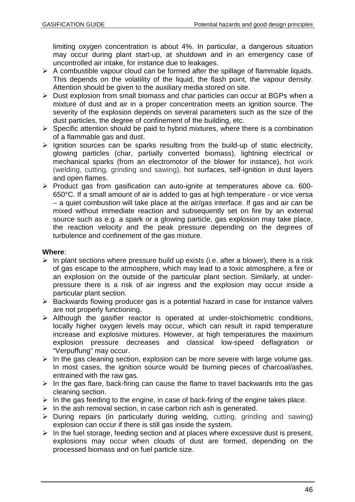limiting oxygen concentration is about 4%. In particular, a dangerous situation may occur during plant start-up, at shutdown and in an emergency case of uncontrolled air intake, for instance due to leakages.

- $\triangleright$  A combustible vapour cloud can be formed after the spillage of flammable liquids. This depends on the volatility of the liquid, the flash point, the vapour density. Attention should be given to the auxiliary media stored on site.
- $\triangleright$  Dust explosion from small biomass and char particles can occur at BGPs when a mixture of dust and air in a proper concentration meets an ignition source. The severity of the explosion depends on several parameters such as the size of the dust particles, the degree of confinement of the building, etc.
- $\triangleright$  Specific attention should be paid to hybrid mixtures, where there is a combination of a flammable gas and dust.
- $\triangleright$  Ignition sources can be sparks resulting from the build-up of static electricity, glowing particles (char, partially converted biomass), lightning electrical or mechanical sparks (from an electromotor of the blower for instance), hot work (welding, cutting, grinding and sawing), hot surfaces, self-ignition in dust layers and open flames.
- $\triangleright$  Product gas from gasification can auto-ignite at temperatures above ca. 600-650°C. If a small amount of air is added to gas at high temperature - or vice versa – a quiet combustion will take place at the air/gas interface. If gas and air can be mixed without immediate reaction and subsequently set on fire by an external source such as e.g. a spark or a glowing particle, gas explosion may take place, the reaction velocity and the peak pressure depending on the degrees of turbulence and confinement of the gas mixture.

#### **Where**:

- $\triangleright$  In plant sections where pressure build up exists (i.e. after a blower), there is a risk of gas escape to the atmosphere, which may lead to a toxic atmosphere, a fire or an explosion on the outside of the particular plant section. Similarly, at underpressure there is a risk of air ingress and the explosion may occur inside a particular plant section.
- $\triangleright$  Backwards flowing producer gas is a potential hazard in case for instance valves are not properly functioning.
- $\triangleright$  Although the gasifier reactor is operated at under-stoïchiometric conditions, locally higher oxygen levels may occur, which can result in rapid temperature increase and explosive mixtures. However, at high temperatures the maximum explosion pressure decreases and classical low-speed deflagration or "Verpuffung" may occur.
- $\triangleright$  In the gas cleaning section, explosion can be more severe with large volume gas. In most cases, the ignition source would be burning pieces of charcoal/ashes, entrained with the raw gas.
- $\triangleright$  In the gas flare, back-firing can cause the flame to travel backwards into the gas cleaning section.
- $\triangleright$  In the gas feeding to the engine, in case of back-firing of the engine takes place.
- $\triangleright$  In the ash removal section, in case carbon rich ash is generated.
- $\triangleright$  During repairs (in particularly during welding, cutting, grinding and sawing) explosion can occur if there is still gas inside the system.
- $\triangleright$  In the fuel storage, feeding section and at places where excessive dust is present, explosions may occur when clouds of dust are formed, depending on the processed biomass and on fuel particle size.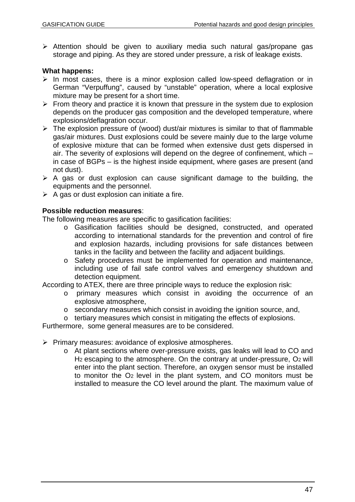$\triangleright$  Attention should be given to auxiliary media such natural gas/propane gas storage and piping. As they are stored under pressure, a risk of leakage exists.

#### **What happens:**

- $\triangleright$  In most cases, there is a minor explosion called low-speed deflagration or in German "Verpuffung", caused by "unstable" operation, where a local explosive mixture may be present for a short time.
- $\triangleright$  From theory and practice it is known that pressure in the system due to explosion depends on the producer gas composition and the developed temperature, where explosions/deflagration occur.
- $\triangleright$  The explosion pressure of (wood) dust/air mixtures is similar to that of flammable gas/air mixtures. Dust explosions could be severe mainly due to the large volume of explosive mixture that can be formed when extensive dust gets dispersed in air. The severity of explosions will depend on the degree of confinement, which – in case of BGPs – is the highest inside equipment, where gases are present (and not dust).
- $\triangleright$  A gas or dust explosion can cause significant damage to the building, the equipments and the personnel.
- $\triangleright$  A gas or dust explosion can initiate a fire.

#### **Possible reduction measures**:

The following measures are specific to gasification facilities:

- o Gasification facilities should be designed, constructed, and operated according to international standards for the prevention and control of fire and explosion hazards, including provisions for safe distances between tanks in the facility and between the facility and adjacent buildings.
- o Safety procedures must be implemented for operation and maintenance, including use of fail safe control valves and emergency shutdown and detection equipment.

According to ATEX, there are three principle ways to reduce the explosion risk:

- o primary measures which consist in avoiding the occurrence of an explosive atmosphere,
- o secondary measures which consist in avoiding the ignition source, and,
- o tertiary measures which consist in mitigating the effects of explosions.

Furthermore, some general measures are to be considered.

 $\triangleright$  Primary measures: avoidance of explosive atmospheres.

o At plant sections where over-pressure exists, gas leaks will lead to CO and H<sub>2</sub> escaping to the atmosphere. On the contrary at under-pressure, O<sub>2</sub> will enter into the plant section. Therefore, an oxygen sensor must be installed to monitor the O2 level in the plant system, and CO monitors must be installed to measure the CO level around the plant. The maximum value of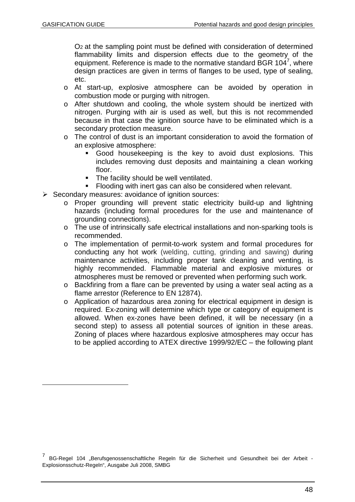O2 at the sampling point must be defined with consideration of determined flammability limits and dispersion effects due to the geometry of the equipment. Reference is made to the normative standard BGR 104 $^7$ , where design practices are given in terms of flanges to be used, type of sealing, etc.

- o At start-up, explosive atmosphere can be avoided by operation in combustion mode or purging with nitrogen.
- o After shutdown and cooling, the whole system should be inertized with nitrogen. Purging with air is used as well, but this is not recommended because in that case the ignition source have to be eliminated which is a secondary protection measure.
- o The control of dust is an important consideration to avoid the formation of an explosive atmosphere:
	- Good housekeeping is the key to avoid dust explosions. This includes removing dust deposits and maintaining a clean working floor.
	- The facility should be well ventilated.
	- **Flooding with inert gas can also be considered when relevant.**
- $\triangleright$  Secondary measures: avoidance of ignition sources:
	- o Proper grounding will prevent static electricity build-up and lightning hazards (including formal procedures for the use and maintenance of grounding connections).
	- o The use of intrinsically safe electrical installations and non-sparking tools is recommended.
	- o The implementation of permit-to-work system and formal procedures for conducting any hot work (welding, cutting, grinding and sawing) during maintenance activities, including proper tank cleaning and venting, is highly recommended. Flammable material and explosive mixtures or atmospheres must be removed or prevented when performing such work.
	- o Backfiring from a flare can be prevented by using a water seal acting as a flame arrestor (Reference to EN 12874).
	- o Application of hazardous area zoning for electrical equipment in design is required. Ex-zoning will determine which type or category of equipment is allowed. When ex-zones have been defined, it will be necessary (in a second step) to assess all potential sources of ignition in these areas. Zoning of places where hazardous explosive atmospheres may occur has to be applied according to ATEX directive 1999/92/EC – the following plant

<sup>7</sup> BG-Regel 104 "Berufsgenossenschaftliche Regeln für die Sicherheit und Gesundheit bei der Arbeit -Explosionsschutz-Regeln", Ausgabe Juli 2008, SMBG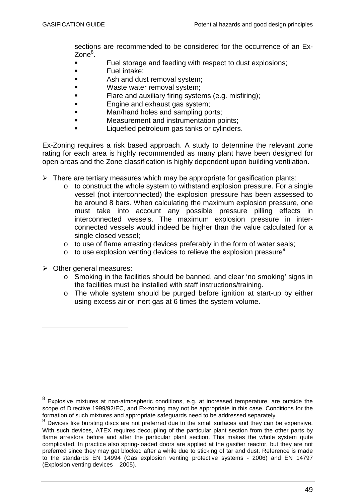sections are recommended to be considered for the occurrence of an Ex-Zone<sup>8</sup>.

- Fuel storage and feeding with respect to dust explosions;
- **Fuel intake:**
- **Ash and dust removal system;**
- **NASTE WASTE WASTER WASTER WASTER CONSUMIST CONSUMIST CONSUMIST CONSUMIST CONSUMIST CONSUMIST CONSUMIST**
- **Flare and auxiliary firing systems (e.g. misfiring);**
- **Engine and exhaust gas system;**
- Man/hand holes and sampling ports;
- Measurement and instrumentation points;
- **Liquefied petroleum gas tanks or cylinders.**

Ex-Zoning requires a risk based approach. A study to determine the relevant zone rating for each area is highly recommended as many plant have been designed for open areas and the Zone classification is highly dependent upon building ventilation.

- $\triangleright$  There are tertiary measures which may be appropriate for gasification plants:
	- o to construct the whole system to withstand explosion pressure. For a single vessel (not interconnected) the explosion pressure has been assessed to be around 8 bars. When calculating the maximum explosion pressure, one must take into account any possible pressure pilling effects in interconnected vessels. The maximum explosion pressure in interconnected vessels would indeed be higher than the value calculated for a single closed vessel;
	- o to use of flame arresting devices preferably in the form of water seals;
	- $\circ$  to use explosion venting devices to relieve the explosion pressure<sup>9</sup>
- $\triangleright$  Other general measures:
	- o Smoking in the facilities should be banned, and clear 'no smoking' signs in the facilities must be installed with staff instructions/training.
	- o The whole system should be purged before ignition at start-up by either using excess air or inert gas at 6 times the system volume.

 $^8$  Explosive mixtures at non-atmospheric conditions, e.g. at increased temperature, are outside the scope of Directive 1999/92/EC, and Ex-zoning may not be appropriate in this case. Conditions for the formation of such mixtures and appropriate safeguards need to be addressed separately.

<sup>9</sup> Devices like bursting discs are not preferred due to the small surfaces and they can be expensive. With such devices. ATEX requires decoupling of the particular plant section from the other parts by flame arrestors before and after the particular plant section. This makes the whole system quite complicated. In practice also spring-loaded doors are applied at the gasifier reactor, but they are not preferred since they may get blocked after a while due to sticking of tar and dust. Reference is made to the standards EN 14994 (Gas explosion venting protective systems - 2006) and EN 14797 (Explosion venting devices – 2005).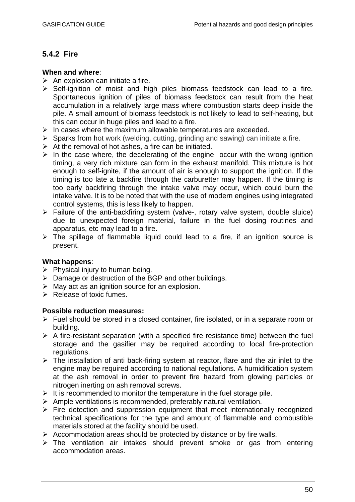## **5.4.2 Fire**

#### **When and where**:

- $\triangleright$  An explosion can initiate a fire.
- $\triangleright$  Self-ignition of moist and high piles biomass feedstock can lead to a fire. Spontaneous ignition of piles of biomass feedstock can result from the heat accumulation in a relatively large mass where combustion starts deep inside the pile. A small amount of biomass feedstock is not likely to lead to self-heating, but this can occur in huge piles and lead to a fire.
- $\triangleright$  In cases where the maximum allowable temperatures are exceeded.
- $\triangleright$  Sparks from hot work (welding, cutting, grinding and sawing) can initiate a fire.
- $\triangleright$  At the removal of hot ashes, a fire can be initiated.
- $\triangleright$  In the case where, the decelerating of the engine occur with the wrong ignition timing, a very rich mixture can form in the exhaust manifold. This mixture is hot enough to self-ignite, if the amount of air is enough to support the ignition. If the timing is too late a backfire through the carburetter may happen. If the timing is too early backfiring through the intake valve may occur, which could burn the intake valve. It is to be noted that with the use of modern engines using integrated control systems, this is less likely to happen.
- $\triangleright$  Failure of the anti-backfiring system (valve-, rotary valve system, double sluice) due to unexpected foreign material, failure in the fuel dosing routines and apparatus, etc may lead to a fire.
- $\triangleright$  The spillage of flammable liquid could lead to a fire, if an ignition source is present.

#### **What happens**:

- $\triangleright$  Physical injury to human being.
- $\triangleright$  Damage or destruction of the BGP and other buildings.
- $\triangleright$  May act as an ignition source for an explosion.
- $\triangleright$  Release of toxic fumes.

#### **Possible reduction measures:**

- $\triangleright$  Fuel should be stored in a closed container, fire isolated, or in a separate room or building.
- $\triangleright$  A fire-resistant separation (with a specified fire resistance time) between the fuel storage and the gasifier may be required according to local fire-protection regulations.
- $\triangleright$  The installation of anti back-firing system at reactor, flare and the air inlet to the engine may be required according to national regulations. A humidification system at the ash removal in order to prevent fire hazard from glowing particles or nitrogen inerting on ash removal screws.
- $\triangleright$  It is recommended to monitor the temperature in the fuel storage pile.
- $\triangleright$  Ample ventilations is recommended, preferably natural ventilation.
- $\triangleright$  Fire detection and suppression equipment that meet internationally recognized technical specifications for the type and amount of flammable and combustible materials stored at the facility should be used.
- $\triangleright$  Accommodation areas should be protected by distance or by fire walls.
- $\triangleright$  The ventilation air intakes should prevent smoke or gas from entering accommodation areas.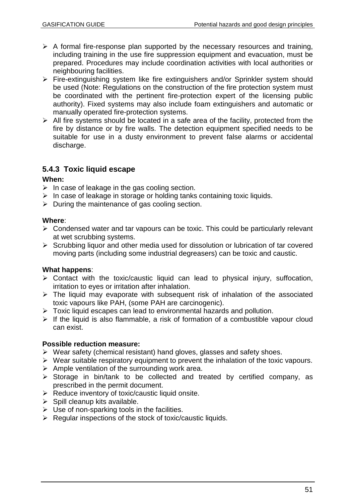- $\triangleright$  A formal fire-response plan supported by the necessary resources and training, including training in the use fire suppression equipment and evacuation, must be prepared. Procedures may include coordination activities with local authorities or neighbouring facilities.
- Fire-extinguishing system like fire extinguishers and/or Sprinkler system should be used (Note: Regulations on the construction of the fire protection system must be coordinated with the pertinent fire-protection expert of the licensing public authority). Fixed systems may also include foam extinguishers and automatic or manually operated fire-protection systems.
- $\triangleright$  All fire systems should be located in a safe area of the facility, protected from the fire by distance or by fire walls. The detection equipment specified needs to be suitable for use in a dusty environment to prevent false alarms or accidental discharge.

## **5.4.3 Toxic liquid escape**

#### **When:**

- $\triangleright$  In case of leakage in the gas cooling section.
- $\triangleright$  In case of leakage in storage or holding tanks containing toxic liquids.
- $\triangleright$  During the maintenance of gas cooling section.

#### **Where**:

- $\triangleright$  Condensed water and tar vapours can be toxic. This could be particularly relevant at wet scrubbing systems.
- $\triangleright$  Scrubbing liquor and other media used for dissolution or lubrication of tar covered moving parts (including some industrial degreasers) can be toxic and caustic.

#### **What happens**:

- $\triangleright$  Contact with the toxic/caustic liquid can lead to physical injury, suffocation, irritation to eyes or irritation after inhalation.
- $\triangleright$  The liquid may evaporate with subsequent risk of inhalation of the associated toxic vapours like PAH, (some PAH are carcinogenic).
- $\triangleright$  Toxic liquid escapes can lead to environmental hazards and pollution.
- $\triangleright$  If the liquid is also flammable, a risk of formation of a combustible vapour cloud can exist.

#### **Possible reduction measure:**

- $\triangleright$  Wear safety (chemical resistant) hand gloves, glasses and safety shoes.
- $\triangleright$  Wear suitable respiratory equipment to prevent the inhalation of the toxic vapours.
- $\triangleright$  Ample ventilation of the surrounding work area.
- $\triangleright$  Storage in bin/tank to be collected and treated by certified company, as prescribed in the permit document.
- $\triangleright$  Reduce inventory of toxic/caustic liquid onsite.
- $\triangleright$  Spill cleanup kits available.
- $\triangleright$  Use of non-sparking tools in the facilities.
- $\triangleright$  Regular inspections of the stock of toxic/caustic liquids.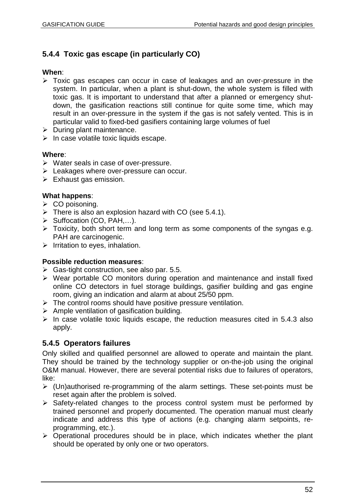# **5.4.4 Toxic gas escape (in particularly CO)**

#### **When**:

- Toxic gas escapes can occur in case of leakages and an over-pressure in the system. In particular, when a plant is shut-down, the whole system is filled with toxic gas. It is important to understand that after a planned or emergency shutdown, the gasification reactions still continue for quite some time, which may result in an over-pressure in the system if the gas is not safely vented. This is in particular valid to fixed-bed gasifiers containing large volumes of fuel
- $\triangleright$  During plant maintenance.
- $\triangleright$  In case volatile toxic liquids escape.

#### **Where**:

- $\triangleright$  Water seals in case of over-pressure.
- Eeakages where over-pressure can occur.
- $\triangleright$  Exhaust gas emission.

#### **What happens**:

- $\triangleright$  CO poisoning.
- $\triangleright$  There is also an explosion hazard with CO (see 5.4.1).
- $\triangleright$  Suffocation (CO, PAH,...).
- $\triangleright$  Toxicity, both short term and long term as some components of the syngas e.g. PAH are carcinogenic.
- $\triangleright$  Irritation to eyes, inhalation.

#### **Possible reduction measures**:

- $\triangleright$  Gas-tight construction, see also par. 5.5.
- $\triangleright$  Wear portable CO monitors during operation and maintenance and install fixed online CO detectors in fuel storage buildings, gasifier building and gas engine room, giving an indication and alarm at about 25/50 ppm.
- $\triangleright$  The control rooms should have positive pressure ventilation.
- $\triangleright$  Ample ventilation of gasification building.
- $\triangleright$  In case volatile toxic liquids escape, the reduction measures cited in 5.4.3 also apply.

## **5.4.5 Operators failures**

Only skilled and qualified personnel are allowed to operate and maintain the plant. They should be trained by the technology supplier or on-the-job using the original O&M manual. However, there are several potential risks due to failures of operators, like:

- $\triangleright$  (Un)authorised re-programming of the alarm settings. These set-points must be reset again after the problem is solved.
- $\triangleright$  Safety-related changes to the process control system must be performed by trained personnel and properly documented. The operation manual must clearly indicate and address this type of actions (e.g. changing alarm setpoints, reprogramming, etc.).
- $\triangleright$  Operational procedures should be in place, which indicates whether the plant should be operated by only one or two operators.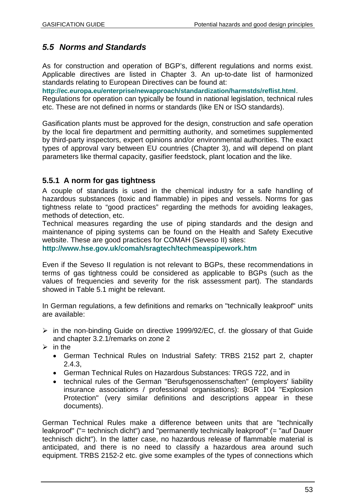# *5.5 Norms and Standards*

As for construction and operation of BGP's, different regulations and norms exist. Applicable directives are listed in Chapter 3. An up-to-date list of harmonized standards relating to European Directives can be found at:

**http://ec.europa.eu/enterprise/newapproach/standardization/harmstds/reflist.html**.

Regulations for operation can typically be found in national legislation, technical rules etc. These are not defined in norms or standards (like EN or ISO standards).

Gasification plants must be approved for the design, construction and safe operation by the local fire department and permitting authority, and sometimes supplemented by third-party inspectors, expert opinions and/or environmental authorities. The exact types of approval vary between EU countries (Chapter 3), and will depend on plant parameters like thermal capacity, gasifier feedstock, plant location and the like.

## **5.5.1 A norm for gas tightness**

A couple of standards is used in the chemical industry for a safe handling of hazardous substances (toxic and flammable) in pipes and vessels. Norms for gas tightness relate to "good practices" regarding the methods for avoiding leakages, methods of detection, etc.

Technical measures regarding the use of piping standards and the design and maintenance of piping systems can be found on the Health and Safety Executive website. These are good practices for COMAH (Seveso II) sites:

**http://www.hse.gov.uk/comah/sragtech/techmeaspipework.htm**

Even if the Seveso II regulation is not relevant to BGPs, these recommendations in terms of gas tightness could be considered as applicable to BGPs (such as the values of frequencies and severity for the risk assessment part). The standards showed in Table 5.1 might be relevant.

In German regulations, a few definitions and remarks on "technically leakproof" units are available:

- $\triangleright$  in the non-binding Guide on directive 1999/92/EC, cf. the glossary of that Guide and chapter 3.2.1/remarks on zone 2
- $\triangleright$  in the
	- German Technical Rules on Industrial Safety: TRBS 2152 part 2, chapter 2.4.3,
	- German Technical Rules on Hazardous Substances: TRGS 722, and in
	- technical rules of the German "Berufsgenossenschaften" (employers' liability insurance associations / professional organisations): BGR 104 "Explosion Protection" (very similar definitions and descriptions appear in these documents).

German Technical Rules make a difference between units that are "technically leakproof" ("= technisch dicht") and "permanently technically leakproof" (= "auf Dauer technisch dicht"). In the latter case, no hazardous release of flammable material is anticipated, and there is no need to classify a hazardous area around such equipment. TRBS 2152-2 etc. give some examples of the types of connections which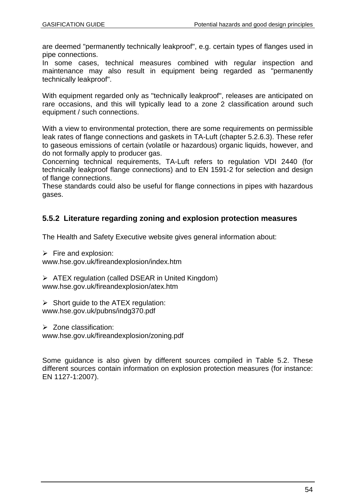are deemed "permanently technically leakproof", e.g. certain types of flanges used in pipe connections.

In some cases, technical measures combined with regular inspection and maintenance may also result in equipment being regarded as "permanently technically leakproof".

With equipment regarded only as "technically leakproof", releases are anticipated on rare occasions, and this will typically lead to a zone 2 classification around such equipment / such connections.

With a view to environmental protection, there are some requirements on permissible leak rates of flange connections and gaskets in TA-Luft (chapter 5.2.6.3). These refer to gaseous emissions of certain (volatile or hazardous) organic liquids, however, and do not formally apply to producer gas.

Concerning technical requirements, TA-Luft refers to regulation VDI 2440 (for technically leakproof flange connections) and to EN 1591-2 for selection and design of flange connections.

These standards could also be useful for flange connections in pipes with hazardous gases.

## **5.5.2 Literature regarding zoning and explosion protection measures**

The Health and Safety Executive website gives general information about:

 $\triangleright$  Fire and explosion:

www.hse.gov.uk/fireandexplosion/index.htm

 $\triangleright$  ATEX regulation (called DSEAR in United Kingdom) www.hse.gov.uk/fireandexplosion/atex.htm

 $\triangleright$  Short guide to the ATEX regulation: www.hse.gov.uk/pubns/indg370.pdf

 $\triangleright$  Zone classification:

www.hse.gov.uk/fireandexplosion/zoning.pdf

Some guidance is also given by different sources compiled in Table 5.2. These different sources contain information on explosion protection measures (for instance: EN 1127-1:2007).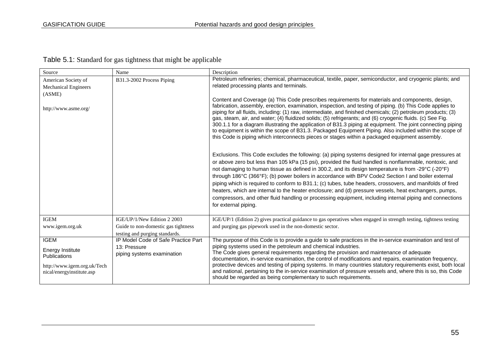| Source                                                                                                                    | Name                                                                              | Description                                                                                                                                                                                                                                                                                                                                                                                                                                                                                                                                                                                                                                                                                                                                                                                 |
|---------------------------------------------------------------------------------------------------------------------------|-----------------------------------------------------------------------------------|---------------------------------------------------------------------------------------------------------------------------------------------------------------------------------------------------------------------------------------------------------------------------------------------------------------------------------------------------------------------------------------------------------------------------------------------------------------------------------------------------------------------------------------------------------------------------------------------------------------------------------------------------------------------------------------------------------------------------------------------------------------------------------------------|
| American Society of<br><b>Mechanical Engineers</b><br>(ASME)                                                              | B31.3-2002 Process Piping                                                         | Petroleum refineries; chemical, pharmaceutical, textile, paper, semiconductor, and cryogenic plants; and<br>related processing plants and terminals.<br>Content and Coverage (a) This Code prescribes requirements for materials and components, design,                                                                                                                                                                                                                                                                                                                                                                                                                                                                                                                                    |
| http://www.asme.org/                                                                                                      |                                                                                   | fabrication, assembly, erection, examination, inspection, and testing of piping. (b) This Code applies to<br>piping for all fluids, including: (1) raw, intermediate, and finished chemicals; (2) petroleum products; (3)<br>gas, steam, air, and water; (4) fluidized solids; (5) refrigerants; and (6) cryogenic fluids. (c) See Fig.<br>300.1.1 for a diagram illustrating the application of B31.3 piping at equipment. The joint connecting piping<br>to equipment is within the scope of B31.3. Packaged Equipment Piping. Also included within the scope of<br>this Code is piping which interconnects pieces or stages within a packaged equipment assembly.                                                                                                                        |
|                                                                                                                           |                                                                                   | Exclusions. This Code excludes the following: (a) piping systems designed for internal gage pressures at<br>or above zero but less than 105 kPa (15 psi), provided the fluid handled is nonflammable, nontoxic, and<br>not damaging to human tissue as defined in 300.2, and its design temperature is from -29°C (-20°F)<br>through 186°C (366°F); (b) power boilers in accordance with BPV Code2 Section I and boiler external<br>piping which is required to conform to B31.1; (c) tubes, tube headers, crossovers, and manifolds of fired<br>heaters, which are internal to the heater enclosure; and (d) pressure vessels, heat exchangers, pumps,<br>compressors, and other fluid handling or processing equipment, including internal piping and connections<br>for external piping. |
| <b>IGEM</b>                                                                                                               | IGE/UP/1/New Edition 2 2003                                                       | IGE/UP/1 (Edition 2) gives practical guidance to gas operatives when engaged in strength testing, tightness testing                                                                                                                                                                                                                                                                                                                                                                                                                                                                                                                                                                                                                                                                         |
| www.igem.org.uk                                                                                                           | Guide to non-domestic gas tightness<br>testing and purging standards.             | and purging gas pipework used in the non-domestic sector.                                                                                                                                                                                                                                                                                                                                                                                                                                                                                                                                                                                                                                                                                                                                   |
| <b>IGEM</b><br><b>Energy Institute</b><br><b>Publications</b><br>http://www.igem.org.uk/Tech<br>nical/energyinstitute.asp | IP Model Code of Safe Practice Part<br>13: Pressure<br>piping systems examination | The purpose of this Code is to provide a guide to safe practices in the in-service examination and test of<br>piping systems used in the petroleum and chemical industries.<br>The Code gives general requirements regarding the provision and maintenance of adequate<br>documentation, in-service examination, the control of modifications and repairs, examination frequency,<br>protective devices and testing of piping systems. In many countries statutory requirements exist, both local<br>and national, pertaining to the in-service examination of pressure vessels and, where this is so, this Code<br>should be regarded as being complementary to such requirements.                                                                                                         |

Table 5.1: Standard for gas tightness that might be applicable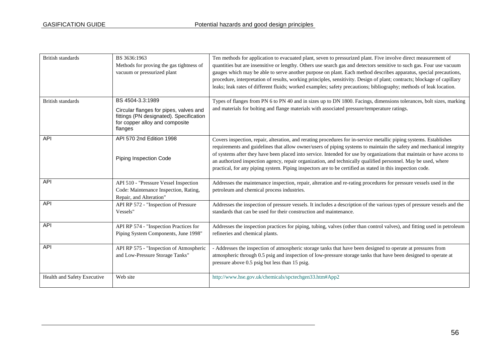| British standards           | BS 3636:1963<br>Methods for proving the gas tightness of<br>vacuum or pressurized plant                                                            | Ten methods for application to evacuated plant, seven to pressurized plant. Five involve direct measurement of<br>quantities but are insensitive or lengthy. Others use search gas and detectors sensitive to such gas. Four use vacuum<br>gauges which may be able to serve another purpose on plant. Each method describes apparatus, special precautions,<br>procedure, interpretation of results, working principles, sensitivity. Design of plant; contracts; blockage of capillary<br>leaks; leak rates of different fluids; worked examples; safety precautions; bibliography; methods of leak location. |
|-----------------------------|----------------------------------------------------------------------------------------------------------------------------------------------------|-----------------------------------------------------------------------------------------------------------------------------------------------------------------------------------------------------------------------------------------------------------------------------------------------------------------------------------------------------------------------------------------------------------------------------------------------------------------------------------------------------------------------------------------------------------------------------------------------------------------|
| <b>British standards</b>    | BS 4504-3.3:1989<br>Circular flanges for pipes, valves and<br>fittings (PN designated). Specification<br>for copper alloy and composite<br>flanges | Types of flanges from PN 6 to PN 40 and in sizes up to DN 1800. Facings, dimensions tolerances, bolt sizes, marking<br>and materials for bolting and flange materials with associated pressure/temperature ratings.                                                                                                                                                                                                                                                                                                                                                                                             |
| <b>API</b>                  | API 570 2nd Edition 1998<br>Piping Inspection Code                                                                                                 | Covers inspection, repair, alteration, and rerating procedures for in-service metallic piping systems. Establishes<br>requirements and guidelines that allow owner/users of piping systems to maintain the safety and mechanical integrity<br>of systems after they have been placed into service. Intended for use by organizations that maintain or have access to<br>an authorized inspection agency, repair organization, and technically qualified personnel. May be used, where<br>practical, for any piping system. Piping inspectors are to be certified as stated in this inspection code.             |
| <b>API</b>                  | API 510 - "Pressure Vessel Inspection<br>Code: Maintenance Inspection, Rating,<br>Repair, and Alteration"                                          | Addresses the maintenance inspection, repair, alteration and re-rating procedures for pressure vessels used in the<br>petroleum and chemical process industries.                                                                                                                                                                                                                                                                                                                                                                                                                                                |
| <b>API</b>                  | API RP 572 - "Inspection of Pressure<br>Vessels"                                                                                                   | Addresses the inspection of pressure vessels. It includes a description of the various types of pressure vessels and the<br>standards that can be used for their construction and maintenance.                                                                                                                                                                                                                                                                                                                                                                                                                  |
| <b>API</b>                  | API RP 574 - "Inspection Practices for<br>Piping System Components, June 1998"                                                                     | Addresses the inspection practices for piping, tubing, valves (other than control valves), and fitting used in petroleum<br>refineries and chemical plants.                                                                                                                                                                                                                                                                                                                                                                                                                                                     |
| API                         | API RP 575 - "Inspection of Atmospheric<br>and Low-Pressure Storage Tanks"                                                                         | - Addresses the inspection of atmospheric storage tanks that have been designed to operate at pressures from<br>atmospheric through 0.5 psig and inspection of low-pressure storage tanks that have been designed to operate at<br>pressure above 0.5 psig but less than 15 psig.                                                                                                                                                                                                                                                                                                                               |
| Health and Safety Executive | Web site                                                                                                                                           | http://www.hse.gov.uk/chemicals/spctechgen33.htm#App2                                                                                                                                                                                                                                                                                                                                                                                                                                                                                                                                                           |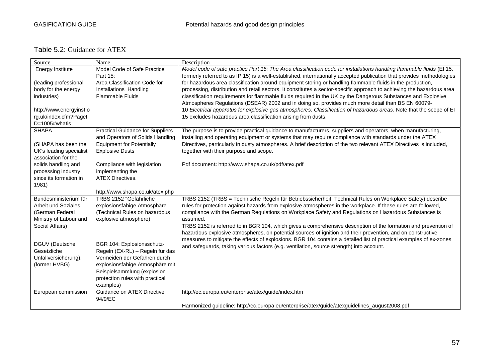### Table 5.2: Guidance for ATEX

| Source                     | Name                                    | Description                                                                                                            |
|----------------------------|-----------------------------------------|------------------------------------------------------------------------------------------------------------------------|
| Energy Institute           | Model Code of Safe Practice             | Model code of safe practice Part 15: The Area classification code for installations handling flammable fluids (EI 15,  |
|                            | Part 15:                                | formerly referred to as IP 15) is a well-established, internationally accepted publication that provides methodologies |
| (leading professional      | Area Classification Code for            | for hazardous area classification around equipment storing or handling flammable fluids in the production,             |
| body for the energy        | Installations Handling                  | processing, distribution and retail sectors. It constitutes a sector-specific approach to achieving the hazardous area |
| industries)                | <b>Flammable Fluids</b>                 | classification requirements for flammable fluids required in the UK by the Dangerous Substances and Explosive          |
|                            |                                         | Atmospheres Regulations (DSEAR) 2002 and in doing so, provides much more detail than BS EN 60079-                      |
| http://www.energyinst.o    |                                         | 10 Electrical apparatus for explosive gas atmospheres: Classification of hazardous areas. Note that the scope of El    |
| rg.uk/index.cfm?Pagel      |                                         | 15 excludes hazardous area classification arising from dusts.                                                          |
| D=1005#whatis              |                                         |                                                                                                                        |
| <b>SHAPA</b>               | <b>Practical Guidance for Suppliers</b> | The purpose is to provide practical guidance to manufacturers, suppliers and operators, when manufacturing,            |
|                            | and Operators of Solids Handling        | installing and operating equipment or systems that may require compliance with standards under the ATEX                |
| (SHAPA has been the        | <b>Equipment for Potentially</b>        | Directives, particularly in dusty atmospheres. A brief description of the two relevant ATEX Directives is included,    |
| UK's leading specialist    | <b>Explosive Dusts</b>                  | together with their purpose and scope.                                                                                 |
| association for the        |                                         |                                                                                                                        |
| solids handling and        | Compliance with legislation             | Pdf document: http://www.shapa.co.uk/pdf/atex.pdf                                                                      |
| processing industry        | implementing the                        |                                                                                                                        |
| since its formation in     | <b>ATEX Directives.</b>                 |                                                                                                                        |
| 1981)                      |                                         |                                                                                                                        |
|                            | http://www.shapa.co.uk/atex.php         |                                                                                                                        |
| Bundesministerium für      | TRBS 2152 "Gefährliche                  | TRBS 2152 (TRBS = Technische Regeln für Betriebssicherheit, Technical Rules on Workplace Safety) describe              |
| <b>Arbeit und Soziales</b> | explosionsfähige Atmosphäre"            | rules for protection against hazards from explosive atmospheres in the workplace. If these rules are followed,         |
| (German Federal            | (Technical Rules on hazardous           | compliance with the German Regulations on Workplace Safety and Regulations on Hazardous Substances is                  |
| Ministry of Labour and     | explosive atmosphere)                   | assumed.                                                                                                               |
| Social Affairs)            |                                         | TRBS 2152 is referred to in BGR 104, which gives a comprehensive description of the formation and prevention of        |
|                            |                                         | hazardous explosive atmospheres, on potential sources of ignition and their prevention, and on constructive            |
|                            |                                         | measures to mitigate the effects of explosions. BGR 104 contains a detailed list of practical examples of ex-zones     |
| DGUV (Deutsche             | BGR 104: Explosionsschutz-              | and safeguards, taking various factors (e.g. ventilation, source strength) into account.                               |
| Gesetzliche                | Regeln (EX-RL) - Regeln für das         |                                                                                                                        |
| Unfallversicherung),       | Vermeiden der Gefahren durch            |                                                                                                                        |
| (former HVBG)              | explosionsfähige Atmosphäre mit         |                                                                                                                        |
|                            | Beispielsammlung (explosion             |                                                                                                                        |
|                            | protection rules with practical         |                                                                                                                        |
|                            | examples)                               |                                                                                                                        |
| European commission        | Guidance on ATEX Directive              | http://ec.europa.eu/enterprise/atex/guide/index.htm                                                                    |
|                            | 94/9/EC                                 |                                                                                                                        |
|                            |                                         | Harmonized guideline: http://ec.europa.eu/enterprise/atex/guide/atexguidelines_august2008.pdf                          |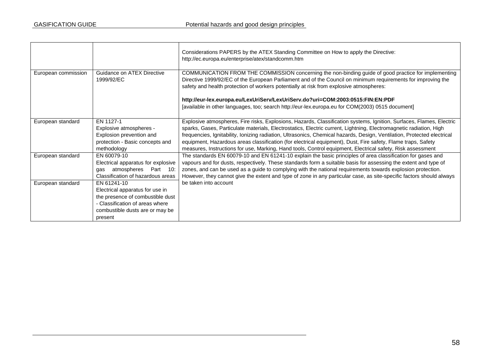$\blacksquare$ 

|                     |                                                                                                                                                                     | Considerations PAPERS by the ATEX Standing Committee on How to apply the Directive:<br>http://ec.europa.eu/enterprise/atex/standcomm.htm                                                                                                                                                                                                                                                                                                                                                                                                                                                            |
|---------------------|---------------------------------------------------------------------------------------------------------------------------------------------------------------------|-----------------------------------------------------------------------------------------------------------------------------------------------------------------------------------------------------------------------------------------------------------------------------------------------------------------------------------------------------------------------------------------------------------------------------------------------------------------------------------------------------------------------------------------------------------------------------------------------------|
| European commission | Guidance on ATEX Directive<br>1999/92/EC                                                                                                                            | COMMUNICATION FROM THE COMMISSION concerning the non-binding guide of good practice for implementing<br>Directive 1999/92/EC of the European Parliament and of the Council on minimum requirements for improving the<br>safety and health protection of workers potentially at risk from explosive atmospheres:                                                                                                                                                                                                                                                                                     |
|                     |                                                                                                                                                                     | http://eur-lex.europa.eu/LexUriServ/LexUriServ.do?uri=COM:2003:0515:FIN:EN:PDF<br>[available in other languages, too; search http://eur-lex.europa.eu for COM(2003) 0515 document]                                                                                                                                                                                                                                                                                                                                                                                                                  |
| European standard   | EN 1127-1<br>Explosive atmospheres -<br>Explosion prevention and<br>protection - Basic concepts and<br>methodology                                                  | Explosive atmospheres, Fire risks, Explosions, Hazards, Classification systems, Ignition, Surfaces, Flames, Electric<br>sparks, Gases, Particulate materials, Electrostatics, Electric current, Lightning, Electromagnetic radiation, High<br>frequencies, Ignitability, Ionizing radiation, Ultrasonics, Chemical hazards, Design, Ventilation, Protected electrical<br>equipment, Hazardous areas classification (for electrical equipment), Dust, Fire safety, Flame traps, Safety<br>measures, Instructions for use, Marking, Hand tools, Control equipment, Electrical safety, Risk assessment |
| European standard   | EN 60079-10<br>Electrical apparatus for explosive<br>Part 10:<br>atmospheres<br>aas<br>Classification of hazardous areas                                            | The standards EN 60079-10 and EN 61241-10 explain the basic principles of area classification for gases and<br>vapours and for dusts, respectively. These standards form a suitable basis for assessing the extent and type of<br>zones, and can be used as a guide to complying with the national requirements towards explosion protection.<br>However, they cannot give the extent and type of zone in any particular case, as site-specific factors should always                                                                                                                               |
| European standard   | EN 61241-10<br>Electrical apparatus for use in<br>the presence of combustible dust<br>- Classification of areas where<br>combustible dusts are or may be<br>present | be taken into account                                                                                                                                                                                                                                                                                                                                                                                                                                                                                                                                                                               |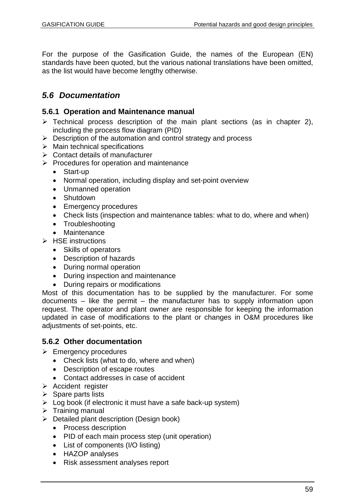For the purpose of the Gasification Guide, the names of the European (EN) standards have been quoted, but the various national translations have been omitted, as the list would have become lengthy otherwise.

# *5.6 Documentation*

### **5.6.1 Operation and Maintenance manual**

- $\triangleright$  Technical process description of the main plant sections (as in chapter 2), including the process flow diagram (PID)
- $\triangleright$  Description of the automation and control strategy and process
- $\triangleright$  Main technical specifications
- $\triangleright$  Contact details of manufacturer
- $\triangleright$  Procedures for operation and maintenance
	- Start-up
	- Normal operation, including display and set-point overview
	- Unmanned operation
	- Shutdown
	- Emergency procedures
	- Check lists (inspection and maintenance tables: what to do, where and when)
	- Troubleshooting
	- Maintenance
- $\triangleright$  HSE instructions
	- Skills of operators
	- Description of hazards
	- During normal operation
	- During inspection and maintenance
	- During repairs or modifications

Most of this documentation has to be supplied by the manufacturer. For some documents – like the permit – the manufacturer has to supply information upon request. The operator and plant owner are responsible for keeping the information updated in case of modifications to the plant or changes in O&M procedures like adjustments of set-points, etc.

#### **5.6.2 Other documentation**

- $\triangleright$  Emergency procedures
	- Check lists (what to do, where and when)
	- Description of escape routes
	- Contact addresses in case of accident
- $\triangleright$  Accident register
- $\triangleright$  Spare parts lists
- $\triangleright$  Log book (if electronic it must have a safe back-up system)
- $\triangleright$  Training manual
- **Detailed plant description (Design book)** 
	- Process description
	- PID of each main process step (unit operation)
	- List of components (I/O listing)
	- HAZOP analyses
	- Risk assessment analyses report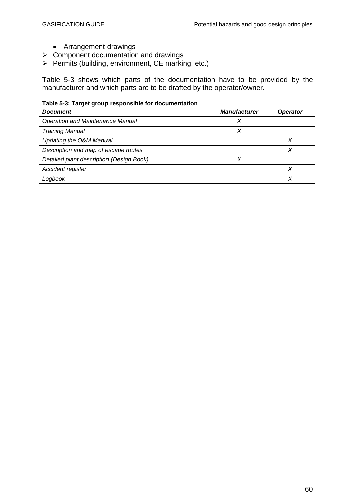- Arrangement drawings
- $\triangleright$  Component documentation and drawings
- $\triangleright$  Permits (building, environment, CE marking, etc.)

Table 5-3 shows which parts of the documentation have to be provided by the manufacturer and which parts are to be drafted by the operator/owner.

#### **Table 5-3: Target group responsible for documentation**

| <b>Document</b>                          | <b>Manufacturer</b> | <b>Operator</b> |
|------------------------------------------|---------------------|-----------------|
| <b>Operation and Maintenance Manual</b>  |                     |                 |
| <b>Training Manual</b>                   | X                   |                 |
| Updating the O&M Manual                  |                     |                 |
| Description and map of escape routes     |                     |                 |
| Detailed plant description (Design Book) |                     |                 |
| Accident register                        |                     |                 |
| Logbook                                  |                     |                 |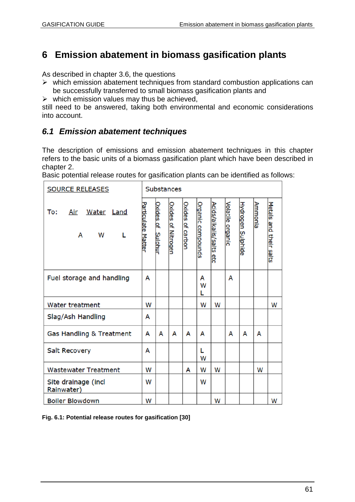# **6 Emission abatement in biomass gasification plants**

As described in chapter 3.6, the questions

- $\triangleright$  which emission abatement techniques from standard combustion applications can be successfully transferred to small biomass gasification plants and
- $\triangleright$  which emission values may thus be achieved,

still need to be answered, taking both environmental and economic considerations into account.

# *6.1 Emission abatement techniques*

The description of emissions and emission abatement techniques in this chapter refers to the basic units of a biomass gasification plant which have been described in chapter 2.

| <b>SOURCE RELEASES</b>                  | <b>Substances</b>  |                      |                           |                  |                   |                             |                  |                          |         |                        |
|-----------------------------------------|--------------------|----------------------|---------------------------|------------------|-------------------|-----------------------------|------------------|--------------------------|---------|------------------------|
| To:<br>Water Land<br>Air<br>A<br>W<br>L | Particulate Matter | Oxides of<br>Sulphur | <b>Oxides of Nitrogen</b> | Oxides of carbon | Organic compounds | Acids/alkalis/salts<br>နိုင | Volatile organic | <b>Hydrogen Sulphide</b> | Ammonia | Metals and their salts |
| Fuel storage and handling               | A                  |                      |                           |                  | А<br>W<br>L       |                             | A                |                          |         |                        |
| Water treatment                         | W                  |                      |                           |                  | W                 | W                           |                  |                          |         | W                      |
| Slag/Ash Handling                       | А                  |                      |                           |                  |                   |                             |                  |                          |         |                        |
| Gas Handling & Treatment                | A                  | А                    | A                         | A                | А                 |                             | A                | A                        | A       |                        |
| <b>Salt Recovery</b>                    | A                  |                      |                           |                  | L<br>W            |                             |                  |                          |         |                        |
| <b>Wastewater Treatment</b>             | W                  |                      |                           | A                | W                 | W                           |                  |                          | W       |                        |
| Site drainage (incl<br>Rainwater)       | W                  |                      |                           |                  | W                 |                             |                  |                          |         |                        |
| <b>Boiler Blowdown</b>                  | W                  |                      |                           |                  |                   | W                           |                  |                          |         | W                      |

Basic potential release routes for gasification plants can be identified as follows:

**Fig. 6.1: Potential release routes for gasification [30]**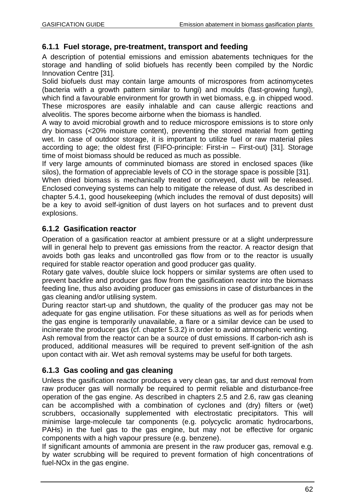## **6.1.1 Fuel storage, pre-treatment, transport and feeding**

A description of potential emissions and emission abatements techniques for the storage and handling of solid biofuels has recently been compiled by the Nordic Innovation Centre [31].

Solid biofuels dust may contain large amounts of microspores from actinomycetes (bacteria with a growth pattern similar to fungi) and moulds (fast-growing fungi), which find a favourable environment for growth in wet biomass, e.g. in chipped wood. These microspores are easily inhalable and can cause allergic reactions and alveolitis. The spores become airborne when the biomass is handled.

A way to avoid microbial growth and to reduce microspore emissions is to store only dry biomass (<20% moisture content), preventing the stored material from getting wet. In case of outdoor storage, it is important to utilize fuel or raw material piles according to age; the oldest first (FIFO-principle: First-in – First-out) [31]. Storage time of moist biomass should be reduced as much as possible.

If very large amounts of comminuted biomass are stored in enclosed spaces (like silos), the formation of appreciable levels of CO in the storage space is possible [31].

When dried biomass is mechanically treated or conveyed, dust will be released. Enclosed conveying systems can help to mitigate the release of dust. As described in chapter 5.4.1, good housekeeping (which includes the removal of dust deposits) will be a key to avoid self-ignition of dust layers on hot surfaces and to prevent dust explosions.

## **6.1.2 Gasification reactor**

Operation of a gasification reactor at ambient pressure or at a slight underpressure will in general help to prevent gas emissions from the reactor. A reactor design that avoids both gas leaks and uncontrolled gas flow from or to the reactor is usually required for stable reactor operation and good producer gas quality.

Rotary gate valves, double sluice lock hoppers or similar systems are often used to prevent backfire and producer gas flow from the gasification reactor into the biomass feeding line, thus also avoiding producer gas emissions in case of disturbances in the gas cleaning and/or utilising system.

During reactor start-up and shutdown, the quality of the producer gas may not be adequate for gas engine utilisation. For these situations as well as for periods when the gas engine is temporarily unavailable, a flare or a similar device can be used to incinerate the producer gas (cf. chapter 5.3.2) in order to avoid atmospheric venting.

Ash removal from the reactor can be a source of dust emissions. If carbon-rich ash is produced, additional measures will be required to prevent self-ignition of the ash upon contact with air. Wet ash removal systems may be useful for both targets.

# **6.1.3 Gas cooling and gas cleaning**

Unless the gasification reactor produces a very clean gas, tar and dust removal from raw producer gas will normally be required to permit reliable and disturbance-free operation of the gas engine. As described in chapters 2.5 and 2.6, raw gas cleaning can be accomplished with a combination of cyclones and (dry) filters or (wet) scrubbers, occasionally supplemented with electrostatic precipitators. This will minimise large-molecule tar components (e.g. polycyclic aromatic hydrocarbons, PAHs) in the fuel gas to the gas engine, but may not be effective for organic components with a high vapour pressure (e.g. benzene).

If significant amounts of ammonia are present in the raw producer gas, removal e.g. by water scrubbing will be required to prevent formation of high concentrations of fuel-NOx in the gas engine.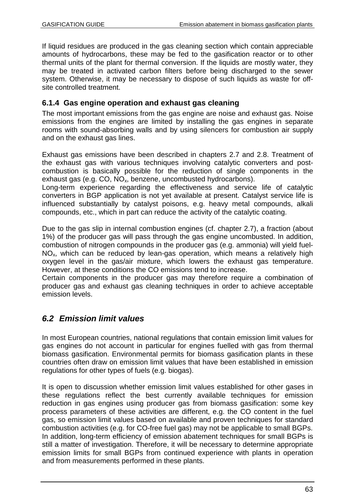If liquid residues are produced in the gas cleaning section which contain appreciable amounts of hydrocarbons, these may be fed to the gasification reactor or to other thermal units of the plant for thermal conversion. If the liquids are mostly water, they may be treated in activated carbon filters before being discharged to the sewer system. Otherwise, it may be necessary to dispose of such liquids as waste for offsite controlled treatment.

### **6.1.4 Gas engine operation and exhaust gas cleaning**

The most important emissions from the gas engine are noise and exhaust gas. Noise emissions from the engines are limited by installing the gas engines in separate rooms with sound-absorbing walls and by using silencers for combustion air supply and on the exhaust gas lines.

Exhaust gas emissions have been described in chapters 2.7 and 2.8. Treatment of the exhaust gas with various techniques involving catalytic converters and postcombustion is basically possible for the reduction of single components in the exhaust gas (e.g. CO, NO<sub>x</sub>, benzene, uncombusted hydrocarbons).

Long-term experience regarding the effectiveness and service life of catalytic converters in BGP application is not yet available at present. Catalyst service life is influenced substantially by catalyst poisons, e.g. heavy metal compounds, alkali compounds, etc., which in part can reduce the activity of the catalytic coating.

Due to the gas slip in internal combustion engines (cf. chapter 2.7), a fraction (about 1%) of the producer gas will pass through the gas engine uncombusted. In addition, combustion of nitrogen compounds in the producer gas (e.g. ammonia) will yield fuel- $NO<sub>x</sub>$ , which can be reduced by lean-gas operation, which means a relatively high oxygen level in the gas/air mixture, which lowers the exhaust gas temperature. However, at these conditions the CO emissions tend to increase.

Certain components in the producer gas may therefore require a combination of producer gas and exhaust gas cleaning techniques in order to achieve acceptable emission levels.

# *6.2 Emission limit values*

In most European countries, national regulations that contain emission limit values for gas engines do not account in particular for engines fuelled with gas from thermal biomass gasification. Environmental permits for biomass gasification plants in these countries often draw on emission limit values that have been established in emission regulations for other types of fuels (e.g. biogas).

It is open to discussion whether emission limit values established for other gases in these regulations reflect the best currently available techniques for emission reduction in gas engines using producer gas from biomass gasification: some key process parameters of these activities are different, e.g. the CO content in the fuel gas, so emission limit values based on available and proven techniques for standard combustion activities (e.g. for CO-free fuel gas) may not be applicable to small BGPs. In addition, long-term efficiency of emission abatement techniques for small BGPs is still a matter of investigation. Therefore, it will be necessary to determine appropriate emission limits for small BGPs from continued experience with plants in operation and from measurements performed in these plants.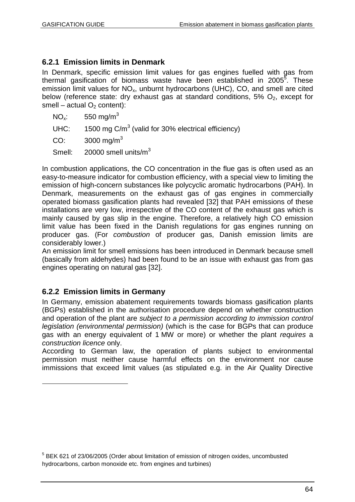## **6.2.1 Emission limits in Denmark**

In Denmark, specific emission limit values for gas engines fuelled with gas from thermal gasification of biomass waste have been established in 2005<sup>5</sup>. These emission limit values for NO<sub>x</sub>, unburnt hydrocarbons (UHC), CO, and smell are cited below (reference state: dry exhaust gas at standard conditions,  $5\%$   $O_2$ , except for smell – actual  $O<sub>2</sub>$  content):

 $NO<sub>x</sub>: 550$  mg/m<sup>3</sup>

UHC: 1500 mg C/m<sup>3</sup> (valid for 30% electrical efficiency)

 $CO: 3000 \text{ ma/m}^3$ 

Smell:  $20000$  smell units/m<sup>3</sup>

In combustion applications, the CO concentration in the flue gas is often used as an easy-to-measure indicator for combustion efficiency, with a special view to limiting the emission of high-concern substances like polycyclic aromatic hydrocarbons (PAH). In Denmark, measurements on the exhaust gas of gas engines in commercially operated biomass gasification plants had revealed [32] that PAH emissions of these installations are very low, irrespective of the CO content of the exhaust gas which is mainly caused by gas slip in the engine. Therefore, a relatively high CO emission limit value has been fixed in the Danish regulations for gas engines running on producer gas. (For *combustion* of producer gas, Danish emission limits are considerably lower.)

An emission limit for smell emissions has been introduced in Denmark because smell (basically from aldehydes) had been found to be an issue with exhaust gas from gas engines operating on natural gas [32].

## **6.2.2 Emission limits in Germany**

In Germany, emission abatement requirements towards biomass gasification plants (BGPs) established in the authorisation procedure depend on whether construction and operation of the plant are *subject to a permission according to immission control legislation (environmental permission)* (which is the case for BGPs that can produce gas with an energy equivalent of 1 MW or more) or whether the plant *requires* a *construction licence* only.

According to German law, the operation of plants subject to environmental permission must neither cause harmful effects on the environment nor cause immissions that exceed limit values (as stipulated e.g. in the Air Quality Directive

<sup>&</sup>lt;sup>5</sup> BEK 621 of 23/06/2005 (Order about limitation of emission of nitrogen oxides, uncombusted hydrocarbons, carbon monoxide etc. from engines and turbines)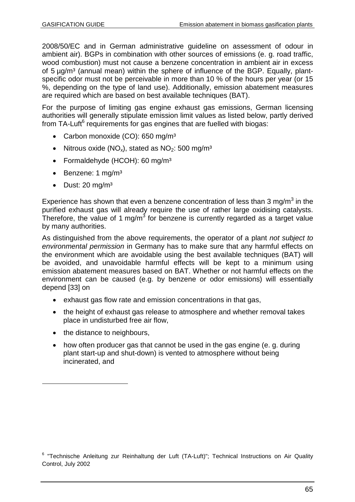2008/50/EC and in German administrative guideline on assessment of odour in ambient air). BGPs in combination with other sources of emissions (e. g. road traffic, wood combustion) must not cause a benzene concentration in ambient air in excess of 5 ug/m<sup>3</sup> (annual mean) within the sphere of influence of the BGP. Equally, plantspecific odor must not be perceivable in more than 10 % of the hours per year (or 15 %, depending on the type of land use). Additionally, emission abatement measures are required which are based on best available techniques (BAT).

For the purpose of limiting gas engine exhaust gas emissions, German licensing authorities will generally stipulate emission limit values as listed below, partly derived from TA-Luft<sup>6</sup> requirements for gas engines that are fuelled with biogas:

- Carbon monoxide (CO): 650 mg/m<sup>3</sup>
- Nitrous oxide (NO<sub>x</sub>), stated as NO<sub>2</sub>: 500 mg/m<sup>3</sup>
- Formaldehyde (HCOH): 60 mg/m<sup>3</sup>
- $\bullet$  Benzene: 1 mg/m<sup>3</sup>
- $\bullet$  Dust: 20 mg/m<sup>3</sup>

Experience has shown that even a benzene concentration of less than 3 mg/m<sup>3</sup> in the purified exhaust gas will already require the use of rather large oxidising catalysts. Therefore, the value of 1 mg/m<sup>3</sup> for benzene is currently regarded as a target value by many authorities.

As distinguished from the above requirements, the operator of a plant *not subject to environmental permission* in Germany has to make sure that any harmful effects on the environment which are avoidable using the best available techniques (BAT) will be avoided, and unavoidable harmful effects will be kept to a minimum using emission abatement measures based on BAT. Whether or not harmful effects on the environment can be caused (e.g. by benzene or odor emissions) will essentially depend [33] on

- exhaust gas flow rate and emission concentrations in that gas,
- the height of exhaust gas release to atmosphere and whether removal takes place in undisturbed free air flow,
- the distance to neighbours,
- how often producer gas that cannot be used in the gas engine (e. g. during plant start-up and shut-down) is vented to atmosphere without being incinerated, and

<sup>&</sup>lt;sup>6</sup> "Technische Anleitung zur Reinhaltung der Luft (TA-Luft)"; Technical Instructions on Air Quality Control, July 2002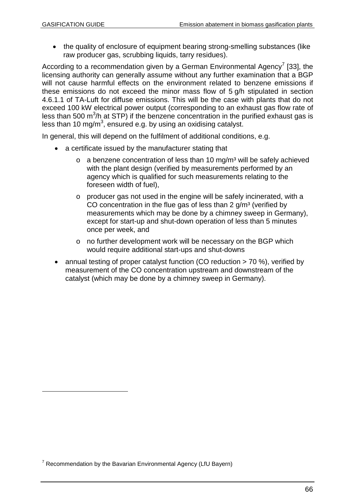• the quality of enclosure of equipment bearing strong-smelling substances (like raw producer gas, scrubbing liquids, tarry residues).

According to a recommendation given by a German Environmental Agency<sup>7</sup> [33], the licensing authority can generally assume without any further examination that a BGP will not cause harmful effects on the environment related to benzene emissions if these emissions do not exceed the minor mass flow of 5 g/h stipulated in section 4.6.1.1 of TA-Luft for diffuse emissions. This will be the case with plants that do not exceed 100 kW electrical power output (corresponding to an exhaust gas flow rate of less than 500 m<sup>3</sup>/h at STP) if the benzene concentration in the purified exhaust gas is less than 10 mg/m<sup>3</sup>, ensured e.g. by using an oxidising catalyst.

In general, this will depend on the fulfilment of additional conditions, e.g.

- a certificate issued by the manufacturer stating that
	- $\circ$  a benzene concentration of less than 10 mg/m<sup>3</sup> will be safely achieved with the plant design (verified by measurements performed by an agency which is qualified for such measurements relating to the foreseen width of fuel),
	- o producer gas not used in the engine will be safely incinerated, with a CO concentration in the flue gas of less than  $2 \frac{q}{m^3}$  (verified by measurements which may be done by a chimney sweep in Germany), except for start-up and shut-down operation of less than 5 minutes once per week, and
	- o no further development work will be necessary on the BGP which would require additional start-ups and shut-downs
- annual testing of proper catalyst function (CO reduction > 70 %), verified by measurement of the CO concentration upstream and downstream of the catalyst (which may be done by a chimney sweep in Germany).

 $7$  Recommendation by the Bavarian Environmental Agency (LfU Bayern)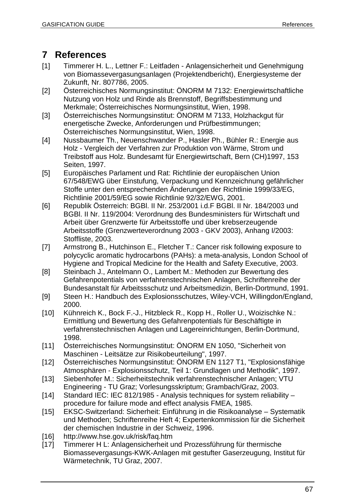# **7 References**

- [1] Timmerer H. L., Lettner F.: Leitfaden Anlagensicherheit und Genehmigung von Biomassevergasungsanlagen (Projektendbericht), Energiesysteme der Zukunft, Nr. 807786, 2005.
- [2] Österreichisches Normungsinstitut: ÖNORM M 7132: Energiewirtschaftliche Nutzung von Holz und Rinde als Brennstoff, Begriffsbestimmung und Merkmale; Österreichisches Normungsinstitut, Wien, 1998.
- [3] Österreichisches Normungsinstitut: ÖNORM M 7133, Holzhackgut für energetische Zwecke, Anforderungen und Prüfbestimmungen; Österreichisches Normungsinstitut, Wien, 1998.
- [4] Nussbaumer Th., Neuenschwander P., Hasler Ph., Bühler R.: Energie aus Holz - Vergleich der Verfahren zur Produktion von Wärme, Strom und Treibstoff aus Holz. Bundesamt für Energiewirtschaft, Bern (CH)1997, 153 Seiten, 1997.
- [5] Europäisches Parlament und Rat: Richtlinie der europäischen Union 67/548/EWG über Einstufung, Verpackung und Kennzeichnung gefährlicher Stoffe unter den entsprechenden Änderungen der Richtlinie 1999/33/EG, Richtlinie 2001/59/EG sowie Richtlinie 92/32/EWG, 2001.
- [6] Republik Österreich: BGBl. II Nr. 253/2001 i.d.F BGBl. II Nr. 184/2003 und BGBl. II Nr. 119/2004: Verordnung des Bundesministers für Wirtschaft und Arbeit über Grenzwerte für Arbeitsstoffe und über krebserzeugende Arbeitsstoffe (Grenzwerteverordnung 2003 - GKV 2003), Anhang I/2003: Stoffliste, 2003.
- [7] Armstrong B., Hutchinson E., Fletcher T.: Cancer risk following exposure to polycyclic aromatic hydrocarbons (PAHs): a meta-analysis, London School of Hygiene and Tropical Medicine for the Health and Safety Executive, 2003.
- [8] Steinbach J., Antelmann O., Lambert M.: Methoden zur Bewertung des Gefahrenpotentials von verfahrenstechnischen Anlagen, Schriftenreihe der Bundesanstalt für Arbeitssschutz und Arbeitsmedizin, Berlin-Dortmund, 1991.
- [9] Steen H.: Handbuch des Explosionsschutzes, Wiley-VCH, Willingdon/England, 2000.
- [10] Kühnreich K., Bock F.-J., Hitzbleck R., Kopp H., Roller U., Woizischke N.: Ermittlung und Bewertung des Gefahrenpotentials für Beschäftigte in verfahrenstechnischen Anlagen und Lagereinrichtungen, Berlin-Dortmund, 1998.
- [11] Österreichisches Normungsinstitut: ÖNORM EN 1050, "Sicherheit von Maschinen - Leitsätze zur Risikobeurteilung", 1997.
- [12] Österreichisches Normungsinstitut: ÖNORM EN 1127 T1, "Explosionsfähige Atmosphären - Explosionsschutz, Teil 1: Grundlagen und Methodik", 1997.
- [13] Siebenhofer M.: Sicherheitstechnik verfahrenstechnischer Anlagen; VTU Engineering - TU Graz; Vorlesungsskriptum; Grambach/Graz, 2003.
- [14] Standard IEC: IEC 812/1985 Analysis techniques for system reliability procedure for failure mode and effect analysis FMEA, 1985.
- [15] EKSC-Switzerland: Sicherheit: Einführung in die Risikoanalyse Systematik und Methoden; Schriftenreihe Heft 4; Expertenkommission für die Sicherheit der chemischen Industrie in der Schweiz, 1996.
- [16] http://www.hse.gov.uk/risk/faq.htm
- [17] Timmerer H L: Anlagensicherheit und Prozessführung für thermische Biomassevergasungs-KWK-Anlagen mit gestufter Gaserzeugung, Institut für Wärmetechnik, TU Graz, 2007.